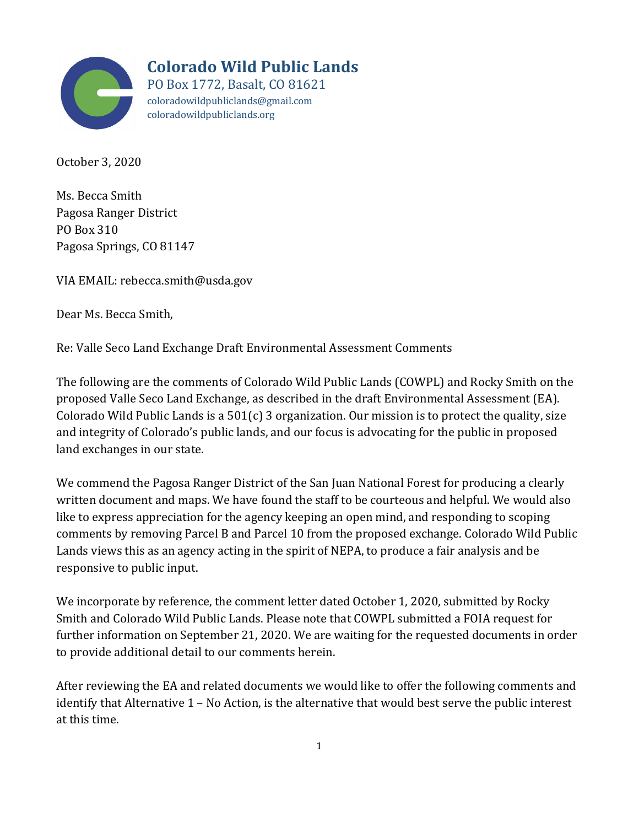

**Colorado Wild Public Lands**

PO Box 1772, Basalt, CO 81621 coloradowildpubliclands@gmail.com coloradowildpubliclands.org

October 3, 2020

Ms. Becca Smith Pagosa Ranger District PO Box 310 Pagosa Springs, CO 81147

VIA EMAIL: rebecca.smith@usda.gov

Dear Ms. Becca Smith,

Re: Valle Seco Land Exchange Draft Environmental Assessment Comments

The following are the comments of Colorado Wild Public Lands (COWPL) and Rocky Smith on the proposed Valle Seco Land Exchange, as described in the draft Environmental Assessment (EA). Colorado Wild Public Lands is a  $501(c)$  3 organization. Our mission is to protect the quality, size and integrity of Colorado's public lands, and our focus is advocating for the public in proposed land exchanges in our state.

We commend the Pagosa Ranger District of the San Juan National Forest for producing a clearly written document and maps. We have found the staff to be courteous and helpful. We would also like to express appreciation for the agency keeping an open mind, and responding to scoping comments by removing Parcel B and Parcel 10 from the proposed exchange. Colorado Wild Public Lands views this as an agency acting in the spirit of NEPA, to produce a fair analysis and be responsive to public input.

We incorporate by reference, the comment letter dated October 1, 2020, submitted by Rocky Smith and Colorado Wild Public Lands. Please note that COWPL submitted a FOIA request for further information on September 21, 2020. We are waiting for the requested documents in order to provide additional detail to our comments herein.

After reviewing the EA and related documents we would like to offer the following comments and identify that Alternative 1 – No Action, is the alternative that would best serve the public interest at this time.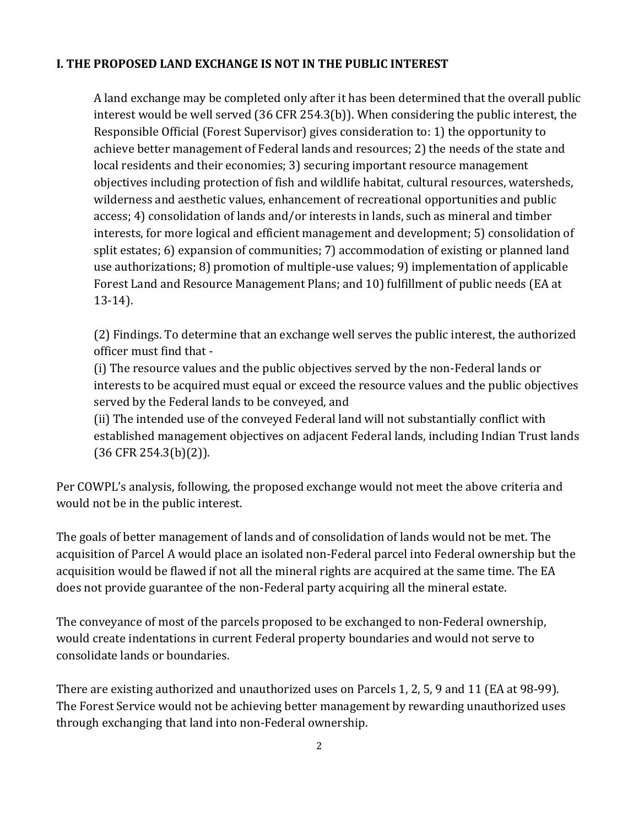## **I. THE PROPOSED LAND EXCHANGE IS NOT IN THE PUBLIC INTEREST**

A land exchange may be completed only after it has been determined that the overall public interest would be well served (36 CFR 254.3(b)). When considering the public interest, the Responsible Official (Forest Supervisor) gives consideration to: 1) the opportunity to achieve better management of Federal lands and resources; 2) the needs of the state and local residents and their economies; 3) securing important resource management objectives including protection of fish and wildlife habitat, cultural resources, watersheds, wilderness and aesthetic values, enhancement of recreational opportunities and public access; 4) consolidation of lands and/or interests in lands, such as mineral and timber interests, for more logical and efficient management and development; 5) consolidation of split estates; 6) expansion of communities; 7) accommodation of existing or planned land use authorizations; 8) promotion of multiple-use values; 9) implementation of applicable Forest Land and Resource Management Plans; and 10) fulfillment of public needs (EA at 13-14).

(2) Findings. To determine that an exchange well serves the public interest, the authorized officer must find that -

(i) The resource values and the public objectives served by the non-Federal lands or interests to be acquired must equal or exceed the resource values and the public objectives served by the Federal lands to be conveyed, and

(ii) The intended use of the conveyed Federal land will not substantially conflict with established management objectives on adjacent Federal lands, including Indian Trust lands (36 CFR 254.3(b)(2)).

Per COWPL's analysis, following, the proposed exchange would not meet the above criteria and would not be in the public interest.

The goals of better management of lands and of consolidation of lands would not be met. The acquisition of Parcel A would place an isolated non-Federal parcel into Federal ownership but the acquisition would be flawed if not all the mineral rights are acquired at the same time. The EA does not provide guarantee of the non-Federal party acquiring all the mineral estate.

The conveyance of most of the parcels proposed to be exchanged to non-Federal ownership, would create indentations in current Federal property boundaries and would not serve to consolidate lands or boundaries.

There are existing authorized and unauthorized uses on Parcels 1, 2, 5, 9 and 11 (EA at 98-99). The Forest Service would not be achieving better management by rewarding unauthorized uses through exchanging that land into non-Federal ownership.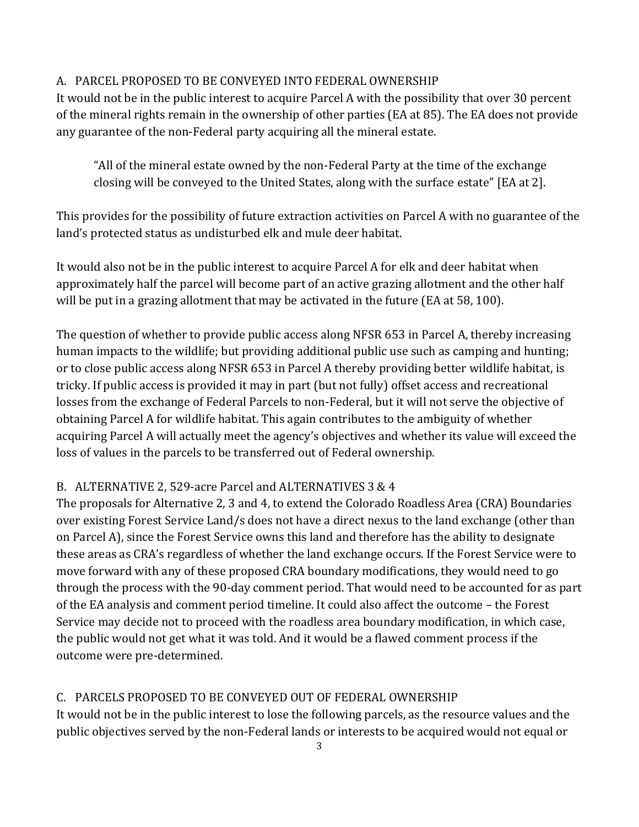#### A. PARCEL PROPOSED TO BE CONVEYED INTO FEDERAL OWNERSHIP

It would not be in the public interest to acquire Parcel A with the possibility that over 30 percent of the mineral rights remain in the ownership of other parties (EA at 85). The EA does not provide any guarantee of the non-Federal party acquiring all the mineral estate.

"All of the mineral estate owned by the non-Federal Party at the time of the exchange closing will be conveyed to the United States, along with the surface estate" [EA at 2].

This provides for the possibility of future extraction activities on Parcel A with no guarantee of the land's protected status as undisturbed elk and mule deer habitat.

It would also not be in the public interest to acquire Parcel A for elk and deer habitat when approximately half the parcel will become part of an active grazing allotment and the other half will be put in a grazing allotment that may be activated in the future (EA at 58, 100).

The question of whether to provide public access along NFSR 653 in Parcel A, thereby increasing human impacts to the wildlife; but providing additional public use such as camping and hunting; or to close public access along NFSR 653 in Parcel A thereby providing better wildlife habitat, is tricky. If public access is provided it may in part (but not fully) offset access and recreational losses from the exchange of Federal Parcels to non-Federal, but it will not serve the objective of obtaining Parcel A for wildlife habitat. This again contributes to the ambiguity of whether acquiring Parcel A will actually meet the agency's objectives and whether its value will exceed the loss of values in the parcels to be transferred out of Federal ownership.

## B. ALTERNATIVE 2, 529-acre Parcel and ALTERNATIVES 3 & 4

The proposals for Alternative 2, 3 and 4, to extend the Colorado Roadless Area (CRA) Boundaries over existing Forest Service Land/s does not have a direct nexus to the land exchange (other than on Parcel A), since the Forest Service owns this land and therefore has the ability to designate these areas as CRA's regardless of whether the land exchange occurs. If the Forest Service were to move forward with any of these proposed CRA boundary modifications, they would need to go through the process with the 90-day comment period. That would need to be accounted for as part of the EA analysis and comment period timeline. It could also affect the outcome – the Forest Service may decide not to proceed with the roadless area boundary modification, in which case, the public would not get what it was told. And it would be a flawed comment process if the outcome were pre-determined.

## C. PARCELS PROPOSED TO BE CONVEYED OUT OF FEDERAL OWNERSHIP

It would not be in the public interest to lose the following parcels, as the resource values and the public objectives served by the non-Federal lands or interests to be acquired would not equal or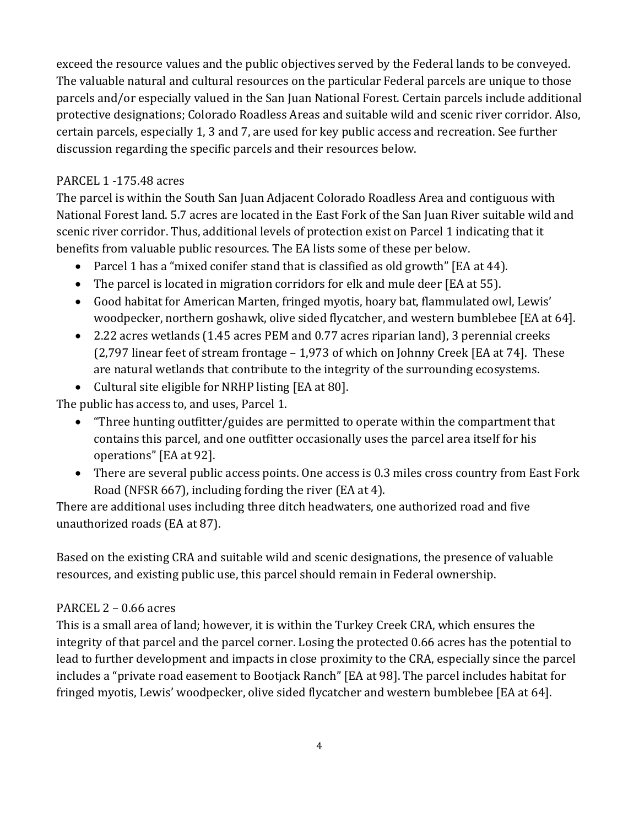exceed the resource values and the public objectives served by the Federal lands to be conveyed. The valuable natural and cultural resources on the particular Federal parcels are unique to those parcels and/or especially valued in the San Juan National Forest. Certain parcels include additional protective designations; Colorado Roadless Areas and suitable wild and scenic river corridor. Also, certain parcels, especially 1, 3 and 7, are used for key public access and recreation. See further discussion regarding the specific parcels and their resources below.

## PARCEL 1 -175.48 acres

The parcel is within the South San Juan Adjacent Colorado Roadless Area and contiguous with National Forest land. 5.7 acres are located in the East Fork of the San Juan River suitable wild and scenic river corridor. Thus, additional levels of protection exist on Parcel 1 indicating that it benefits from valuable public resources. The EA lists some of these per below.

- Parcel 1 has a "mixed conifer stand that is classified as old growth" [EA at 44).
- The parcel is located in migration corridors for elk and mule deer [EA at 55].
- Good habitat for American Marten, fringed myotis, hoary bat, flammulated owl, Lewis' woodpecker, northern goshawk, olive sided flycatcher, and western bumblebee [EA at 64].
- 2.22 acres wetlands (1.45 acres PEM and 0.77 acres riparian land), 3 perennial creeks (2,797 linear feet of stream frontage – 1,973 of which on Johnny Creek [EA at 74]. These are natural wetlands that contribute to the integrity of the surrounding ecosystems.
- Cultural site eligible for NRHP listing [EA at 80].

The public has access to, and uses, Parcel 1.

- "Three hunting outfitter/guides are permitted to operate within the compartment that contains this parcel, and one outfitter occasionally uses the parcel area itself for his operations" [EA at 92].
- There are several public access points. One access is 0.3 miles cross country from East Fork Road (NFSR 667), including fording the river (EA at 4).

There are additional uses including three ditch headwaters, one authorized road and five unauthorized roads (EA at 87).

Based on the existing CRA and suitable wild and scenic designations, the presence of valuable resources, and existing public use, this parcel should remain in Federal ownership.

#### PARCEL 2 – 0.66 acres

This is a small area of land; however, it is within the Turkey Creek CRA, which ensures the integrity of that parcel and the parcel corner. Losing the protected 0.66 acres has the potential to lead to further development and impacts in close proximity to the CRA, especially since the parcel includes a "private road easement to Bootjack Ranch" [EA at 98]. The parcel includes habitat for fringed myotis, Lewis' woodpecker, olive sided flycatcher and western bumblebee [EA at 64].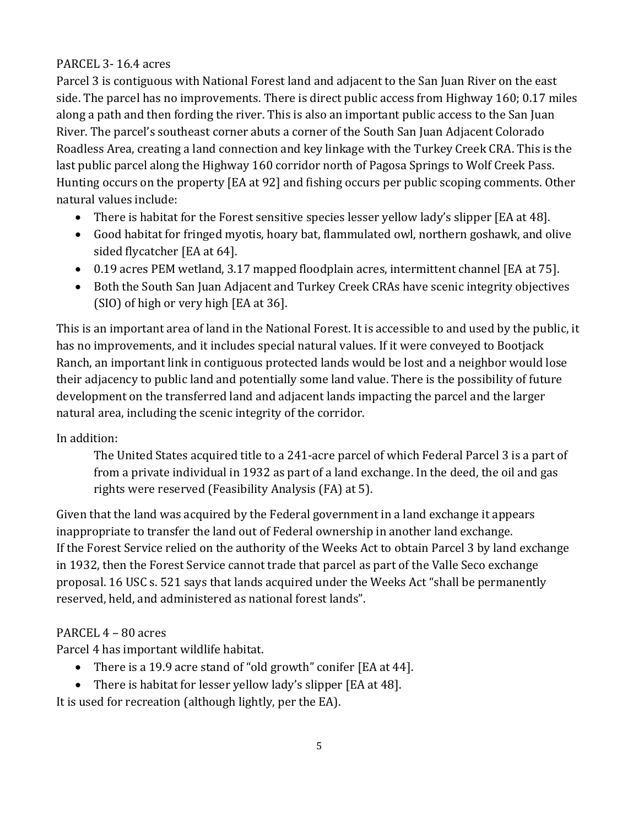# PARCEL 3- 16.4 acres

Parcel 3 is contiguous with National Forest land and adjacent to the San Juan River on the east side. The parcel has no improvements. There is direct public access from Highway 160; 0.17 miles along a path and then fording the river. This is also an important public access to the San Juan River. The parcel's southeast corner abuts a corner of the South San Juan Adjacent Colorado Roadless Area, creating a land connection and key linkage with the Turkey Creek CRA. This is the last public parcel along the Highway 160 corridor north of Pagosa Springs to Wolf Creek Pass. Hunting occurs on the property [EA at 92] and fishing occurs per public scoping comments. Other natural values include:

- There is habitat for the Forest sensitive species lesser yellow lady's slipper [EA at 48].
- Good habitat for fringed myotis, hoary bat, flammulated owl, northern goshawk, and olive sided flycatcher [EA at 64].
- 0.19 acres PEM wetland, 3.17 mapped floodplain acres, intermittent channel [EA at 75].
- Both the South San Juan Adjacent and Turkey Creek CRAs have scenic integrity objectives (SIO) of high or very high [EA at 36].

This is an important area of land in the National Forest. It is accessible to and used by the public, it has no improvements, and it includes special natural values. If it were conveyed to Bootjack Ranch, an important link in contiguous protected lands would be lost and a neighbor would lose their adjacency to public land and potentially some land value. There is the possibility of future development on the transferred land and adjacent lands impacting the parcel and the larger natural area, including the scenic integrity of the corridor.

## In addition:

The United States acquired title to a 241-acre parcel of which Federal Parcel 3 is a part of from a private individual in 1932 as part of a land exchange. In the deed, the oil and gas rights were reserved (Feasibility Analysis (FA) at 5).

Given that the land was acquired by the Federal government in a land exchange it appears inappropriate to transfer the land out of Federal ownership in another land exchange. If the Forest Service relied on the authority of the Weeks Act to obtain Parcel 3 by land exchange in 1932, then the Forest Service cannot trade that parcel as part of the Valle Seco exchange proposal. 16 USC s. 521 says that lands acquired under the Weeks Act "shall be permanently reserved, held, and administered as national forest lands".

# PARCEL 4 – 80 acres

Parcel 4 has important wildlife habitat.

- There is a 19.9 acre stand of "old growth" conifer [EA at 44].
- There is habitat for lesser yellow lady's slipper [EA at 48].

It is used for recreation (although lightly, per the EA).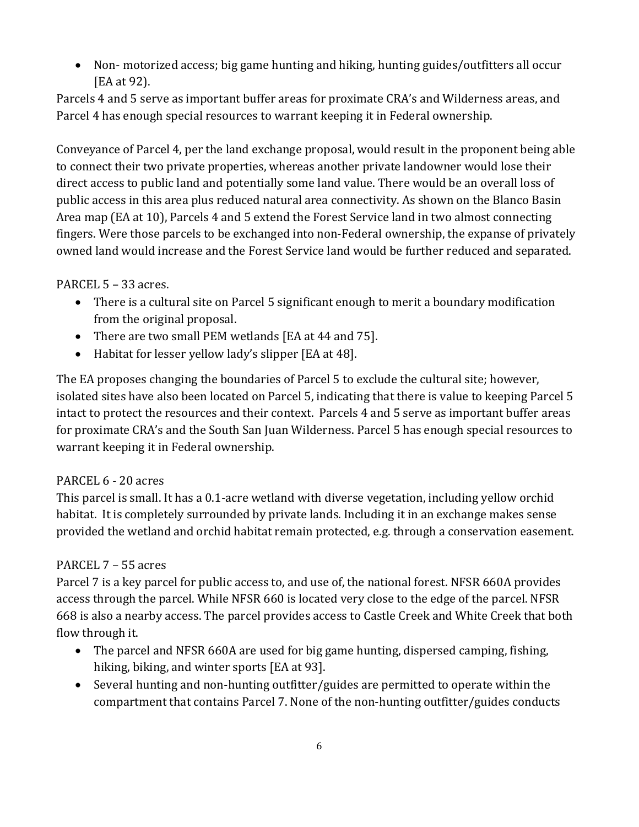Non- motorized access; big game hunting and hiking, hunting guides/outfitters all occur [EA at 92).

Parcels 4 and 5 serve as important buffer areas for proximate CRA's and Wilderness areas, and Parcel 4 has enough special resources to warrant keeping it in Federal ownership.

Conveyance of Parcel 4, per the land exchange proposal, would result in the proponent being able to connect their two private properties, whereas another private landowner would lose their direct access to public land and potentially some land value. There would be an overall loss of public access in this area plus reduced natural area connectivity. As shown on the Blanco Basin Area map (EA at 10), Parcels 4 and 5 extend the Forest Service land in two almost connecting fingers. Were those parcels to be exchanged into non-Federal ownership, the expanse of privately owned land would increase and the Forest Service land would be further reduced and separated.

# PARCEL 5 – 33 acres.

- There is a cultural site on Parcel 5 significant enough to merit a boundary modification from the original proposal.
- There are two small PEM wetlands [EA at 44 and 75].
- Habitat for lesser yellow lady's slipper [EA at 48].

The EA proposes changing the boundaries of Parcel 5 to exclude the cultural site; however, isolated sites have also been located on Parcel 5, indicating that there is value to keeping Parcel 5 intact to protect the resources and their context. Parcels 4 and 5 serve as important buffer areas for proximate CRA's and the South San Juan Wilderness. Parcel 5 has enough special resources to warrant keeping it in Federal ownership.

## PARCEL 6 - 20 acres

This parcel is small. It has a 0.1-acre wetland with diverse vegetation, including yellow orchid habitat. It is completely surrounded by private lands. Including it in an exchange makes sense provided the wetland and orchid habitat remain protected, e.g. through a conservation easement.

## PARCEL 7 – 55 acres

Parcel 7 is a key parcel for public access to, and use of, the national forest. NFSR 660A provides access through the parcel. While NFSR 660 is located very close to the edge of the parcel. NFSR 668 is also a nearby access. The parcel provides access to Castle Creek and White Creek that both flow through it.

- The parcel and NFSR 660A are used for big game hunting, dispersed camping, fishing, hiking, biking, and winter sports [EA at 93].
- Several hunting and non-hunting outfitter/guides are permitted to operate within the compartment that contains Parcel 7. None of the non-hunting outfitter/guides conducts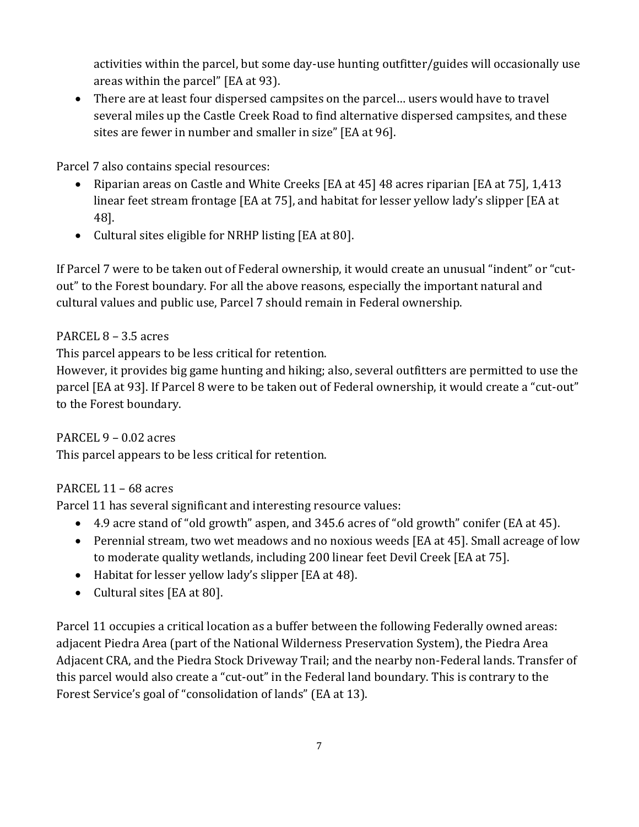activities within the parcel, but some day-use hunting outfitter/guides will occasionally use areas within the parcel" [EA at 93).

 There are at least four dispersed campsites on the parcel… users would have to travel several miles up the Castle Creek Road to find alternative dispersed campsites, and these sites are fewer in number and smaller in size" [EA at 96].

Parcel 7 also contains special resources:

- Riparian areas on Castle and White Creeks [EA at 45] 48 acres riparian [EA at 75], 1,413 linear feet stream frontage [EA at 75], and habitat for lesser yellow lady's slipper [EA at 48].
- Cultural sites eligible for NRHP listing [EA at 80].

If Parcel 7 were to be taken out of Federal ownership, it would create an unusual "indent" or "cutout" to the Forest boundary. For all the above reasons, especially the important natural and cultural values and public use, Parcel 7 should remain in Federal ownership.

# PARCEL 8 – 3.5 acres

This parcel appears to be less critical for retention.

However, it provides big game hunting and hiking; also, several outfitters are permitted to use the parcel [EA at 93]. If Parcel 8 were to be taken out of Federal ownership, it would create a "cut-out" to the Forest boundary.

PARCEL 9 – 0.02 acres

This parcel appears to be less critical for retention.

# PARCEL 11 – 68 acres

Parcel 11 has several significant and interesting resource values:

- 4.9 acre stand of "old growth" aspen, and 345.6 acres of "old growth" conifer (EA at 45).
- Perennial stream, two wet meadows and no noxious weeds [EA at 45]. Small acreage of low to moderate quality wetlands, including 200 linear feet Devil Creek [EA at 75].
- Habitat for lesser yellow lady's slipper [EA at 48).
- Cultural sites [EA at 80].

Parcel 11 occupies a critical location as a buffer between the following Federally owned areas: adjacent Piedra Area (part of the National Wilderness Preservation System), the Piedra Area Adjacent CRA, and the Piedra Stock Driveway Trail; and the nearby non-Federal lands. Transfer of this parcel would also create a "cut-out" in the Federal land boundary. This is contrary to the Forest Service's goal of "consolidation of lands" (EA at 13).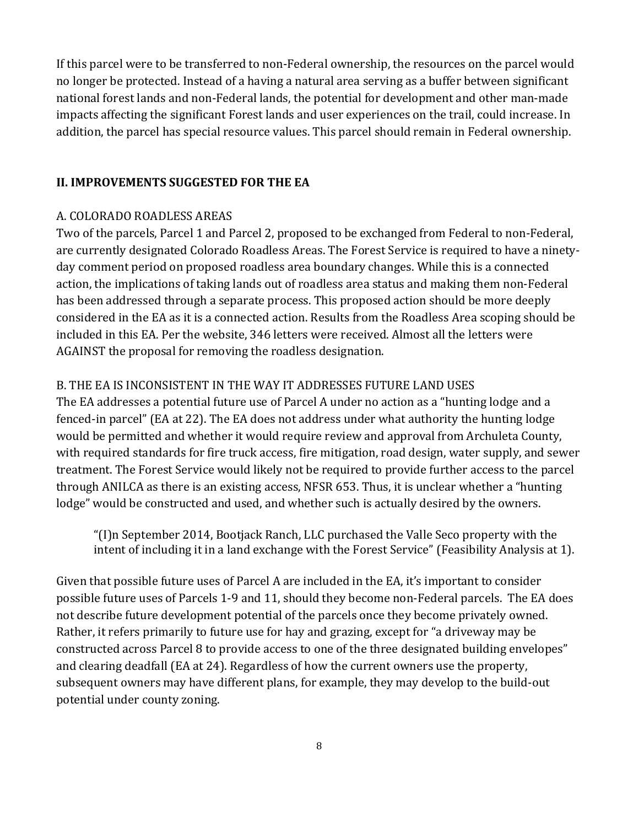If this parcel were to be transferred to non-Federal ownership, the resources on the parcel would no longer be protected. Instead of a having a natural area serving as a buffer between significant national forest lands and non-Federal lands, the potential for development and other man-made impacts affecting the significant Forest lands and user experiences on the trail, could increase. In addition, the parcel has special resource values. This parcel should remain in Federal ownership.

#### **II. IMPROVEMENTS SUGGESTED FOR THE EA**

#### A. COLORADO ROADLESS AREAS

Two of the parcels, Parcel 1 and Parcel 2, proposed to be exchanged from Federal to non-Federal, are currently designated Colorado Roadless Areas. The Forest Service is required to have a ninetyday comment period on proposed roadless area boundary changes. While this is a connected action, the implications of taking lands out of roadless area status and making them non-Federal has been addressed through a separate process. This proposed action should be more deeply considered in the EA as it is a connected action. Results from the Roadless Area scoping should be included in this EA. Per the website, 346 letters were received. Almost all the letters were AGAINST the proposal for removing the roadless designation.

#### B. THE EA IS INCONSISTENT IN THE WAY IT ADDRESSES FUTURE LAND USES

The EA addresses a potential future use of Parcel A under no action as a "hunting lodge and a fenced-in parcel" (EA at 22). The EA does not address under what authority the hunting lodge would be permitted and whether it would require review and approval from Archuleta County, with required standards for fire truck access, fire mitigation, road design, water supply, and sewer treatment. The Forest Service would likely not be required to provide further access to the parcel through ANILCA as there is an existing access, NFSR 653. Thus, it is unclear whether a "hunting lodge" would be constructed and used, and whether such is actually desired by the owners.

"(I)n September 2014, Bootjack Ranch, LLC purchased the Valle Seco property with the intent of including it in a land exchange with the Forest Service" (Feasibility Analysis at 1).

Given that possible future uses of Parcel A are included in the EA, it's important to consider possible future uses of Parcels 1-9 and 11, should they become non-Federal parcels. The EA does not describe future development potential of the parcels once they become privately owned. Rather, it refers primarily to future use for hay and grazing, except for "a driveway may be constructed across Parcel 8 to provide access to one of the three designated building envelopes" and clearing deadfall (EA at 24). Regardless of how the current owners use the property, subsequent owners may have different plans, for example, they may develop to the build-out potential under county zoning.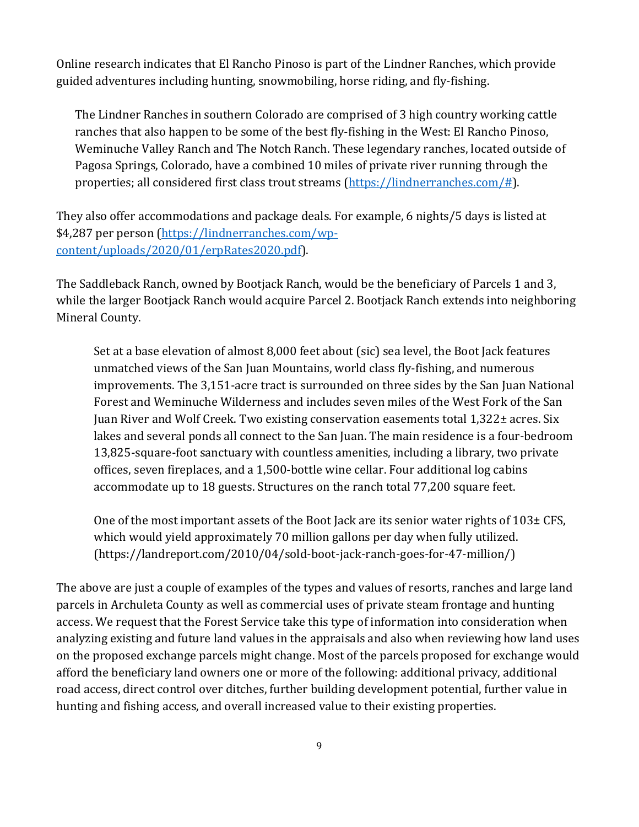Online research indicates that El Rancho Pinoso is part of the Lindner Ranches, which provide guided adventures including hunting, snowmobiling, horse riding, and fly-fishing.

The Lindner Ranches in southern Colorado are comprised of 3 high country working cattle ranches that also happen to be some of the best fly-fishing in the West: El Rancho Pinoso, Weminuche Valley Ranch and The Notch Ranch. These legendary ranches, located outside of Pagosa Springs, Colorado, have a combined 10 miles of private river running through the properties; all considered first class trout streams (https://lindnerranches.com/#).

They also offer accommodations and package deals. For example, 6 nights/5 days is listed at \$4,287 per person (https://lindnerranches.com/wpcontent/uploads/2020/01/erpRates2020.pdf).

The Saddleback Ranch, owned by Bootjack Ranch, would be the beneficiary of Parcels 1 and 3, while the larger Bootjack Ranch would acquire Parcel 2. Bootjack Ranch extends into neighboring Mineral County.

Set at a base elevation of almost 8,000 feet about (sic) sea level, the Boot Jack features unmatched views of the San Juan Mountains, world class fly-fishing, and numerous improvements. The 3,151-acre tract is surrounded on three sides by the San Juan National Forest and Weminuche Wilderness and includes seven miles of the West Fork of the San Juan River and Wolf Creek. Two existing conservation easements total 1,322± acres. Six lakes and several ponds all connect to the San Juan. The main residence is a four-bedroom 13,825-square-foot sanctuary with countless amenities, including a library, two private offices, seven fireplaces, and a 1,500-bottle wine cellar. Four additional log cabins accommodate up to 18 guests. Structures on the ranch total 77,200 square feet.

One of the most important assets of the Boot Jack are its senior water rights of 103± CFS, which would yield approximately 70 million gallons per day when fully utilized. (https://landreport.com/2010/04/sold-boot-jack-ranch-goes-for-47-million/)

The above are just a couple of examples of the types and values of resorts, ranches and large land parcels in Archuleta County as well as commercial uses of private steam frontage and hunting access. We request that the Forest Service take this type of information into consideration when analyzing existing and future land values in the appraisals and also when reviewing how land uses on the proposed exchange parcels might change. Most of the parcels proposed for exchange would afford the beneficiary land owners one or more of the following: additional privacy, additional road access, direct control over ditches, further building development potential, further value in hunting and fishing access, and overall increased value to their existing properties.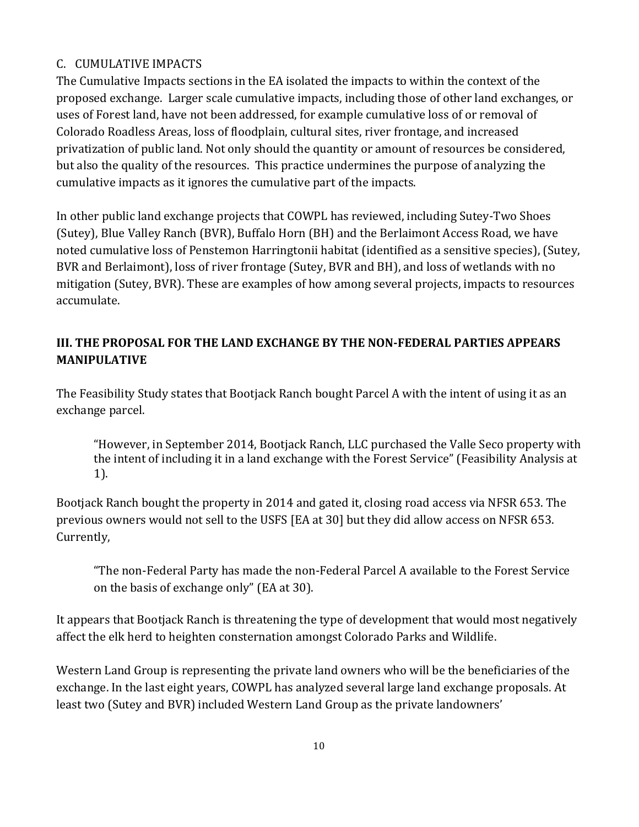## C. CUMULATIVE IMPACTS

The Cumulative Impacts sections in the EA isolated the impacts to within the context of the proposed exchange. Larger scale cumulative impacts, including those of other land exchanges, or uses of Forest land, have not been addressed, for example cumulative loss of or removal of Colorado Roadless Areas, loss of floodplain, cultural sites, river frontage, and increased privatization of public land. Not only should the quantity or amount of resources be considered, but also the quality of the resources. This practice undermines the purpose of analyzing the cumulative impacts as it ignores the cumulative part of the impacts.

In other public land exchange projects that COWPL has reviewed, including Sutey-Two Shoes (Sutey), Blue Valley Ranch (BVR), Buffalo Horn (BH) and the Berlaimont Access Road, we have noted cumulative loss of Penstemon Harringtonii habitat (identified as a sensitive species), (Sutey, BVR and Berlaimont), loss of river frontage (Sutey, BVR and BH), and loss of wetlands with no mitigation (Sutey, BVR). These are examples of how among several projects, impacts to resources accumulate.

# **III. THE PROPOSAL FOR THE LAND EXCHANGE BY THE NON‐FEDERAL PARTIES APPEARS MANIPULATIVE**

The Feasibility Study states that Bootjack Ranch bought Parcel A with the intent of using it as an exchange parcel.

"However, in September 2014, Bootjack Ranch, LLC purchased the Valle Seco property with the intent of including it in a land exchange with the Forest Service" (Feasibility Analysis at 1).

Bootjack Ranch bought the property in 2014 and gated it, closing road access via NFSR 653. The previous owners would not sell to the USFS [EA at 30] but they did allow access on NFSR 653. Currently,

"The non-Federal Party has made the non-Federal Parcel A available to the Forest Service on the basis of exchange only" (EA at 30).

It appears that Bootjack Ranch is threatening the type of development that would most negatively affect the elk herd to heighten consternation amongst Colorado Parks and Wildlife.

Western Land Group is representing the private land owners who will be the beneficiaries of the exchange. In the last eight years, COWPL has analyzed several large land exchange proposals. At least two (Sutey and BVR) included Western Land Group as the private landowners'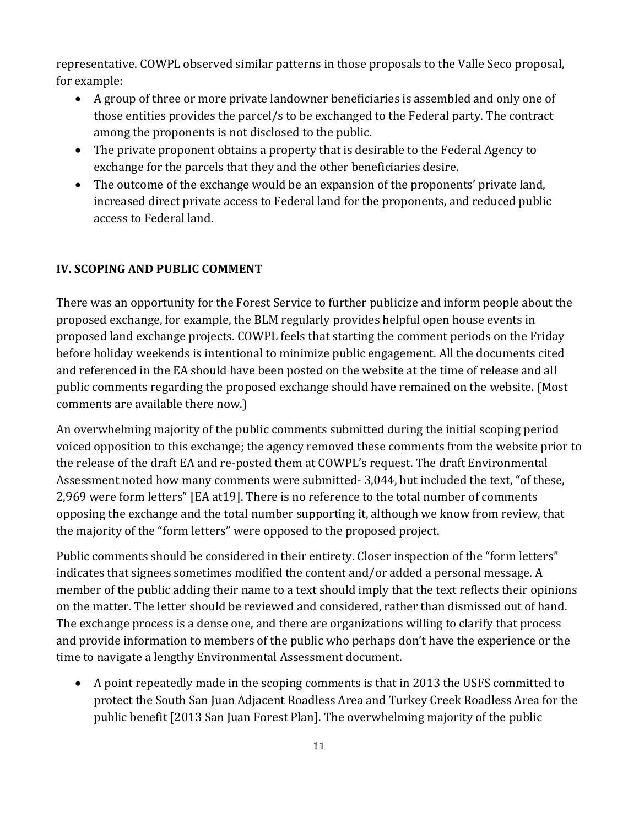representative. COWPL observed similar patterns in those proposals to the Valle Seco proposal, for example:

- A group of three or more private landowner beneficiaries is assembled and only one of those entities provides the parcel/s to be exchanged to the Federal party. The contract among the proponents is not disclosed to the public.
- The private proponent obtains a property that is desirable to the Federal Agency to exchange for the parcels that they and the other beneficiaries desire.
- The outcome of the exchange would be an expansion of the proponents' private land, increased direct private access to Federal land for the proponents, and reduced public access to Federal land.

#### **IV. SCOPING AND PUBLIC COMMENT**

There was an opportunity for the Forest Service to further publicize and inform people about the proposed exchange, for example, the BLM regularly provides helpful open house events in proposed land exchange projects. COWPL feels that starting the comment periods on the Friday before holiday weekends is intentional to minimize public engagement. All the documents cited and referenced in the EA should have been posted on the website at the time of release and all public comments regarding the proposed exchange should have remained on the website. (Most comments are available there now.)

An overwhelming majority of the public comments submitted during the initial scoping period voiced opposition to this exchange; the agency removed these comments from the website prior to the release of the draft EA and re-posted them at COWPL's request. The draft Environmental Assessment noted how many comments were submitted- 3,044, but included the text, "of these, 2,969 were form letters" [EA at19]. There is no reference to the total number of comments opposing the exchange and the total number supporting it, although we know from review, that the majority of the "form letters" were opposed to the proposed project.

Public comments should be considered in their entirety. Closer inspection of the "form letters" indicates that signees sometimes modified the content and/or added a personal message. A member of the public adding their name to a text should imply that the text reflects their opinions on the matter. The letter should be reviewed and considered, rather than dismissed out of hand. The exchange process is a dense one, and there are organizations willing to clarify that process and provide information to members of the public who perhaps don't have the experience or the time to navigate a lengthy Environmental Assessment document.

 A point repeatedly made in the scoping comments is that in 2013 the USFS committed to protect the South San Juan Adjacent Roadless Area and Turkey Creek Roadless Area for the public benefit [2013 San Juan Forest Plan]. The overwhelming majority of the public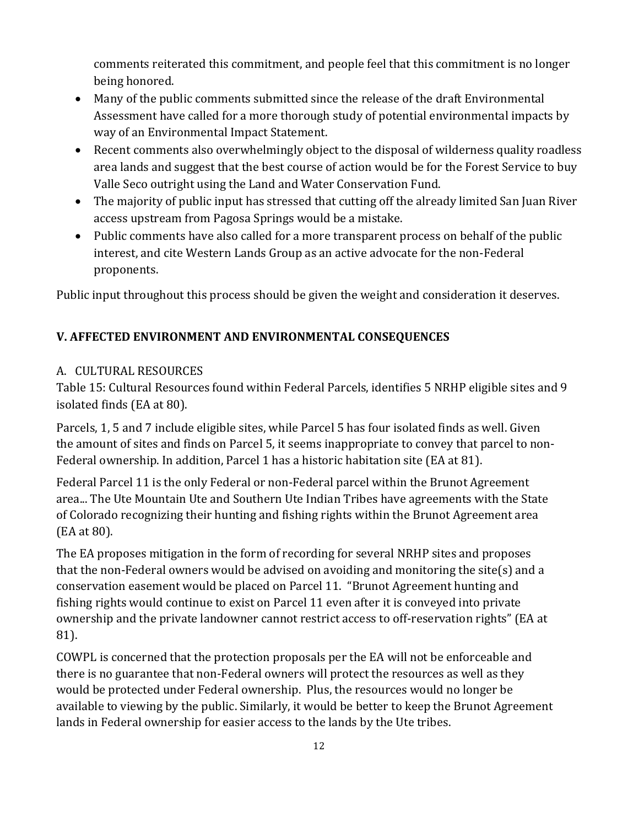comments reiterated this commitment, and people feel that this commitment is no longer being honored.

- Many of the public comments submitted since the release of the draft Environmental Assessment have called for a more thorough study of potential environmental impacts by way of an Environmental Impact Statement.
- Recent comments also overwhelmingly object to the disposal of wilderness quality roadless area lands and suggest that the best course of action would be for the Forest Service to buy Valle Seco outright using the Land and Water Conservation Fund.
- The majority of public input has stressed that cutting off the already limited San Juan River access upstream from Pagosa Springs would be a mistake.
- Public comments have also called for a more transparent process on behalf of the public interest, and cite Western Lands Group as an active advocate for the non-Federal proponents.

Public input throughout this process should be given the weight and consideration it deserves.

## **V. AFFECTED ENVIRONMENT AND ENVIRONMENTAL CONSEQUENCES**

#### A. CULTURAL RESOURCES

Table 15: Cultural Resources found within Federal Parcels, identifies 5 NRHP eligible sites and 9 isolated finds (EA at 80).

Parcels, 1, 5 and 7 include eligible sites, while Parcel 5 has four isolated finds as well. Given the amount of sites and finds on Parcel 5, it seems inappropriate to convey that parcel to non-Federal ownership. In addition, Parcel 1 has a historic habitation site (EA at 81).

Federal Parcel 11 is the only Federal or non-Federal parcel within the Brunot Agreement area... The Ute Mountain Ute and Southern Ute Indian Tribes have agreements with the State of Colorado recognizing their hunting and fishing rights within the Brunot Agreement area (EA at 80).

The EA proposes mitigation in the form of recording for several NRHP sites and proposes that the non-Federal owners would be advised on avoiding and monitoring the site(s) and a conservation easement would be placed on Parcel 11. "Brunot Agreement hunting and fishing rights would continue to exist on Parcel 11 even after it is conveyed into private ownership and the private landowner cannot restrict access to off-reservation rights" (EA at 81).

COWPL is concerned that the protection proposals per the EA will not be enforceable and there is no guarantee that non-Federal owners will protect the resources as well as they would be protected under Federal ownership. Plus, the resources would no longer be available to viewing by the public. Similarly, it would be better to keep the Brunot Agreement lands in Federal ownership for easier access to the lands by the Ute tribes.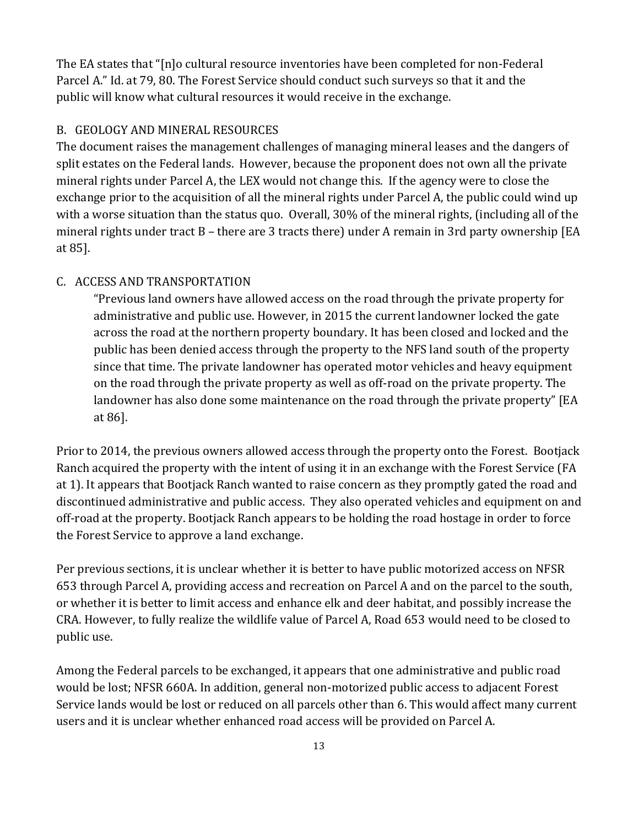The EA states that "[n]o cultural resource inventories have been completed for non-Federal Parcel A." Id. at 79, 80. The Forest Service should conduct such surveys so that it and the public will know what cultural resources it would receive in the exchange.

#### B. GEOLOGY AND MINERAL RESOURCES

The document raises the management challenges of managing mineral leases and the dangers of split estates on the Federal lands. However, because the proponent does not own all the private mineral rights under Parcel A, the LEX would not change this. If the agency were to close the exchange prior to the acquisition of all the mineral rights under Parcel A, the public could wind up with a worse situation than the status quo. Overall, 30% of the mineral rights, (including all of the mineral rights under tract B – there are 3 tracts there) under A remain in 3rd party ownership [EA at 85].

## C. ACCESS AND TRANSPORTATION

"Previous land owners have allowed access on the road through the private property for administrative and public use. However, in 2015 the current landowner locked the gate across the road at the northern property boundary. It has been closed and locked and the public has been denied access through the property to the NFS land south of the property since that time. The private landowner has operated motor vehicles and heavy equipment on the road through the private property as well as off-road on the private property. The landowner has also done some maintenance on the road through the private property" [EA at 86].

Prior to 2014, the previous owners allowed access through the property onto the Forest. Bootjack Ranch acquired the property with the intent of using it in an exchange with the Forest Service (FA at 1). It appears that Bootjack Ranch wanted to raise concern as they promptly gated the road and discontinued administrative and public access. They also operated vehicles and equipment on and off-road at the property. Bootjack Ranch appears to be holding the road hostage in order to force the Forest Service to approve a land exchange.

Per previous sections, it is unclear whether it is better to have public motorized access on NFSR 653 through Parcel A, providing access and recreation on Parcel A and on the parcel to the south, or whether it is better to limit access and enhance elk and deer habitat, and possibly increase the CRA. However, to fully realize the wildlife value of Parcel A, Road 653 would need to be closed to public use.

Among the Federal parcels to be exchanged, it appears that one administrative and public road would be lost; NFSR 660A. In addition, general non-motorized public access to adjacent Forest Service lands would be lost or reduced on all parcels other than 6. This would affect many current users and it is unclear whether enhanced road access will be provided on Parcel A.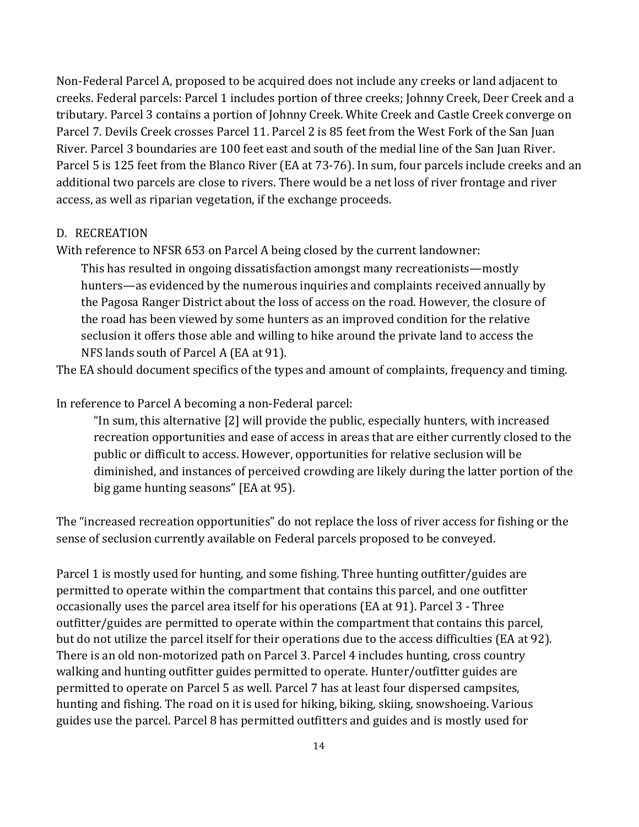Non-Federal Parcel A, proposed to be acquired does not include any creeks or land adjacent to creeks. Federal parcels: Parcel 1 includes portion of three creeks; Johnny Creek, Deer Creek and a tributary. Parcel 3 contains a portion of Johnny Creek. White Creek and Castle Creek converge on Parcel 7. Devils Creek crosses Parcel 11. Parcel 2 is 85 feet from the West Fork of the San Juan River. Parcel 3 boundaries are 100 feet east and south of the medial line of the San Juan River. Parcel 5 is 125 feet from the Blanco River (EA at 73-76). In sum, four parcels include creeks and an additional two parcels are close to rivers. There would be a net loss of river frontage and river access, as well as riparian vegetation, if the exchange proceeds.

#### D. RECREATION

With reference to NFSR 653 on Parcel A being closed by the current landowner:

This has resulted in ongoing dissatisfaction amongst many recreationists—mostly hunters—as evidenced by the numerous inquiries and complaints received annually by the Pagosa Ranger District about the loss of access on the road. However, the closure of the road has been viewed by some hunters as an improved condition for the relative seclusion it offers those able and willing to hike around the private land to access the NFS lands south of Parcel A (EA at 91).

The EA should document specifics of the types and amount of complaints, frequency and timing.

In reference to Parcel A becoming a non-Federal parcel:

"In sum, this alternative [2] will provide the public, especially hunters, with increased recreation opportunities and ease of access in areas that are either currently closed to the public or difficult to access. However, opportunities for relative seclusion will be diminished, and instances of perceived crowding are likely during the latter portion of the big game hunting seasons" [EA at 95).

The "increased recreation opportunities" do not replace the loss of river access for fishing or the sense of seclusion currently available on Federal parcels proposed to be conveyed.

Parcel 1 is mostly used for hunting, and some fishing. Three hunting outfitter/guides are permitted to operate within the compartment that contains this parcel, and one outfitter occasionally uses the parcel area itself for his operations (EA at 91). Parcel 3 - Three outfitter/guides are permitted to operate within the compartment that contains this parcel, but do not utilize the parcel itself for their operations due to the access difficulties (EA at 92). There is an old non-motorized path on Parcel 3. Parcel 4 includes hunting, cross country walking and hunting outfitter guides permitted to operate. Hunter/outfitter guides are permitted to operate on Parcel 5 as well. Parcel 7 has at least four dispersed campsites, hunting and fishing. The road on it is used for hiking, biking, skiing, snowshoeing. Various guides use the parcel. Parcel 8 has permitted outfitters and guides and is mostly used for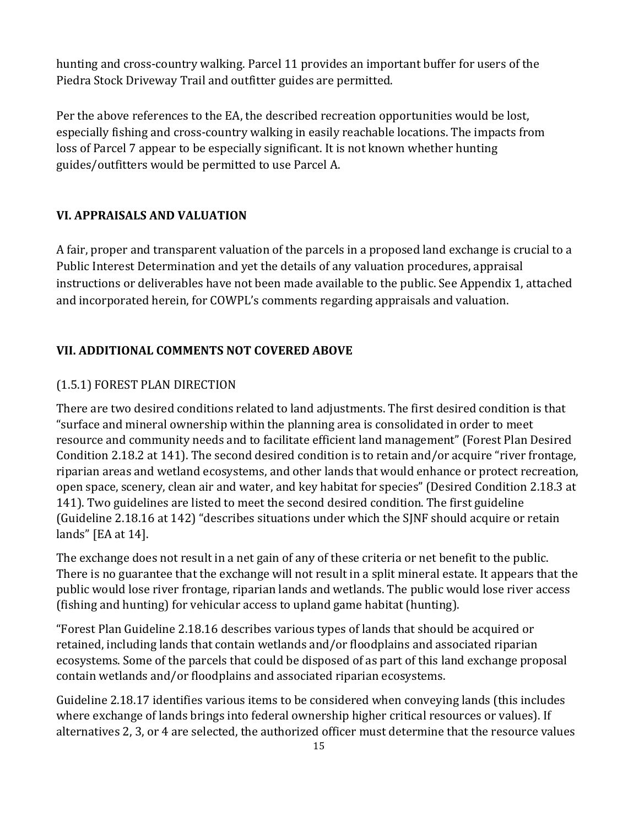hunting and cross-country walking. Parcel 11 provides an important buffer for users of the Piedra Stock Driveway Trail and outfitter guides are permitted.

Per the above references to the EA, the described recreation opportunities would be lost, especially fishing and cross-country walking in easily reachable locations. The impacts from loss of Parcel 7 appear to be especially significant. It is not known whether hunting guides/outfitters would be permitted to use Parcel A.

## **VI. APPRAISALS AND VALUATION**

A fair, proper and transparent valuation of the parcels in a proposed land exchange is crucial to a Public Interest Determination and yet the details of any valuation procedures, appraisal instructions or deliverables have not been made available to the public. See Appendix 1, attached and incorporated herein, for COWPL's comments regarding appraisals and valuation.

#### **VII. ADDITIONAL COMMENTS NOT COVERED ABOVE**

#### (1.5.1) FOREST PLAN DIRECTION

There are two desired conditions related to land adjustments. The first desired condition is that "surface and mineral ownership within the planning area is consolidated in order to meet resource and community needs and to facilitate efficient land management" (Forest Plan Desired Condition 2.18.2 at 141). The second desired condition is to retain and/or acquire "river frontage, riparian areas and wetland ecosystems, and other lands that would enhance or protect recreation, open space, scenery, clean air and water, and key habitat for species" (Desired Condition 2.18.3 at 141). Two guidelines are listed to meet the second desired condition. The first guideline (Guideline 2.18.16 at 142) "describes situations under which the SJNF should acquire or retain lands" [EA at 14].

The exchange does not result in a net gain of any of these criteria or net benefit to the public. There is no guarantee that the exchange will not result in a split mineral estate. It appears that the public would lose river frontage, riparian lands and wetlands. The public would lose river access (fishing and hunting) for vehicular access to upland game habitat (hunting).

"Forest Plan Guideline 2.18.16 describes various types of lands that should be acquired or retained, including lands that contain wetlands and/or floodplains and associated riparian ecosystems. Some of the parcels that could be disposed of as part of this land exchange proposal contain wetlands and/or floodplains and associated riparian ecosystems.

Guideline 2.18.17 identifies various items to be considered when conveying lands (this includes where exchange of lands brings into federal ownership higher critical resources or values). If alternatives 2, 3, or 4 are selected, the authorized officer must determine that the resource values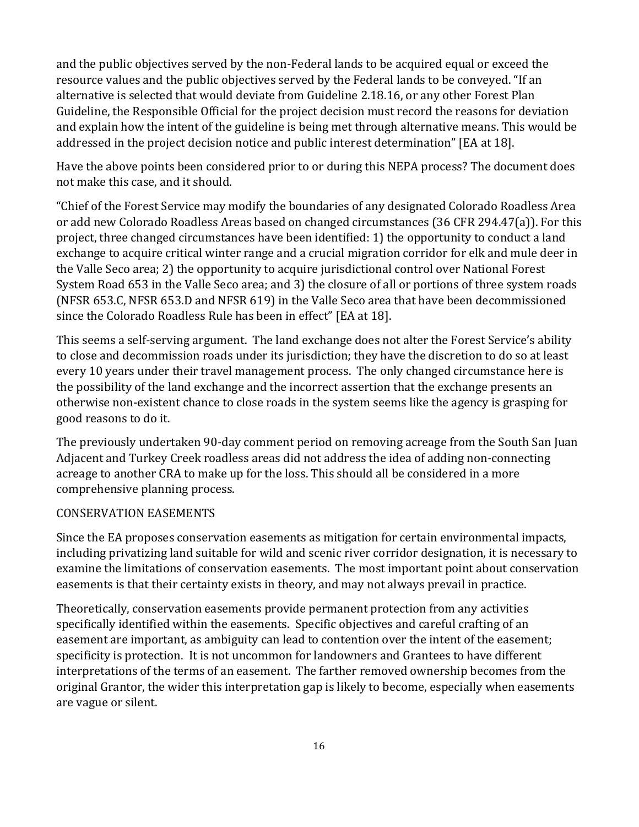and the public objectives served by the non-Federal lands to be acquired equal or exceed the resource values and the public objectives served by the Federal lands to be conveyed. "If an alternative is selected that would deviate from Guideline 2.18.16, or any other Forest Plan Guideline, the Responsible Official for the project decision must record the reasons for deviation and explain how the intent of the guideline is being met through alternative means. This would be addressed in the project decision notice and public interest determination" [EA at 18].

Have the above points been considered prior to or during this NEPA process? The document does not make this case, and it should.

"Chief of the Forest Service may modify the boundaries of any designated Colorado Roadless Area or add new Colorado Roadless Areas based on changed circumstances (36 CFR 294.47(a)). For this project, three changed circumstances have been identified: 1) the opportunity to conduct a land exchange to acquire critical winter range and a crucial migration corridor for elk and mule deer in the Valle Seco area; 2) the opportunity to acquire jurisdictional control over National Forest System Road 653 in the Valle Seco area; and 3) the closure of all or portions of three system roads (NFSR 653.C, NFSR 653.D and NFSR 619) in the Valle Seco area that have been decommissioned since the Colorado Roadless Rule has been in effect" [EA at 18].

This seems a self-serving argument. The land exchange does not alter the Forest Service's ability to close and decommission roads under its jurisdiction; they have the discretion to do so at least every 10 years under their travel management process. The only changed circumstance here is the possibility of the land exchange and the incorrect assertion that the exchange presents an otherwise non-existent chance to close roads in the system seems like the agency is grasping for good reasons to do it.

The previously undertaken 90-day comment period on removing acreage from the South San Juan Adjacent and Turkey Creek roadless areas did not address the idea of adding non-connecting acreage to another CRA to make up for the loss. This should all be considered in a more comprehensive planning process.

#### CONSERVATION EASEMENTS

Since the EA proposes conservation easements as mitigation for certain environmental impacts, including privatizing land suitable for wild and scenic river corridor designation, it is necessary to examine the limitations of conservation easements. The most important point about conservation easements is that their certainty exists in theory, and may not always prevail in practice.

Theoretically, conservation easements provide permanent protection from any activities specifically identified within the easements. Specific objectives and careful crafting of an easement are important, as ambiguity can lead to contention over the intent of the easement; specificity is protection. It is not uncommon for landowners and Grantees to have different interpretations of the terms of an easement. The farther removed ownership becomes from the original Grantor, the wider this interpretation gap is likely to become, especially when easements are vague or silent.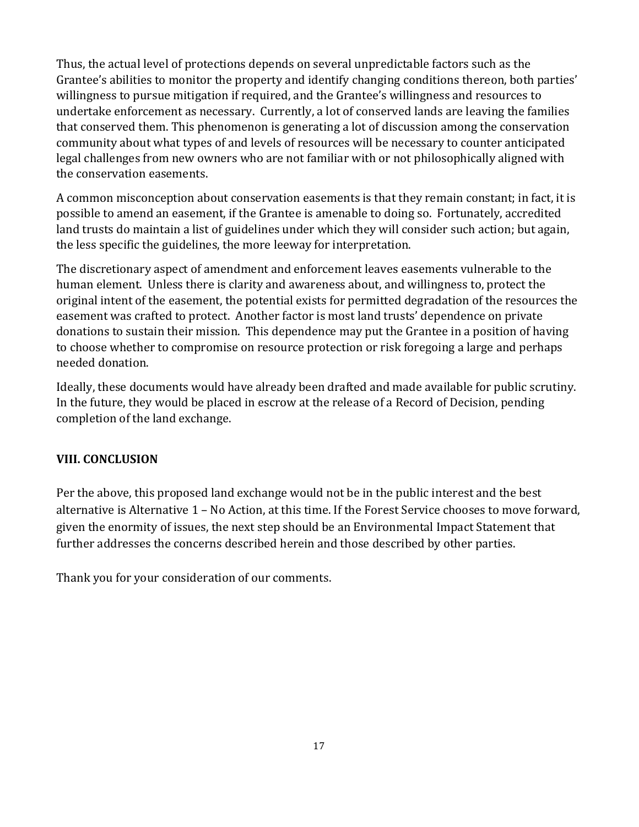Thus, the actual level of protections depends on several unpredictable factors such as the Grantee's abilities to monitor the property and identify changing conditions thereon, both parties' willingness to pursue mitigation if required, and the Grantee's willingness and resources to undertake enforcement as necessary. Currently, a lot of conserved lands are leaving the families that conserved them. This phenomenon is generating a lot of discussion among the conservation community about what types of and levels of resources will be necessary to counter anticipated legal challenges from new owners who are not familiar with or not philosophically aligned with the conservation easements.

A common misconception about conservation easements is that they remain constant; in fact, it is possible to amend an easement, if the Grantee is amenable to doing so. Fortunately, accredited land trusts do maintain a list of guidelines under which they will consider such action; but again, the less specific the guidelines, the more leeway for interpretation.

The discretionary aspect of amendment and enforcement leaves easements vulnerable to the human element. Unless there is clarity and awareness about, and willingness to, protect the original intent of the easement, the potential exists for permitted degradation of the resources the easement was crafted to protect. Another factor is most land trusts' dependence on private donations to sustain their mission. This dependence may put the Grantee in a position of having to choose whether to compromise on resource protection or risk foregoing a large and perhaps needed donation.

Ideally, these documents would have already been drafted and made available for public scrutiny. In the future, they would be placed in escrow at the release of a Record of Decision, pending completion of the land exchange.

#### **VIII. CONCLUSION**

Per the above, this proposed land exchange would not be in the public interest and the best alternative is Alternative 1 – No Action, at this time. If the Forest Service chooses to move forward, given the enormity of issues, the next step should be an Environmental Impact Statement that further addresses the concerns described herein and those described by other parties.

Thank you for your consideration of our comments.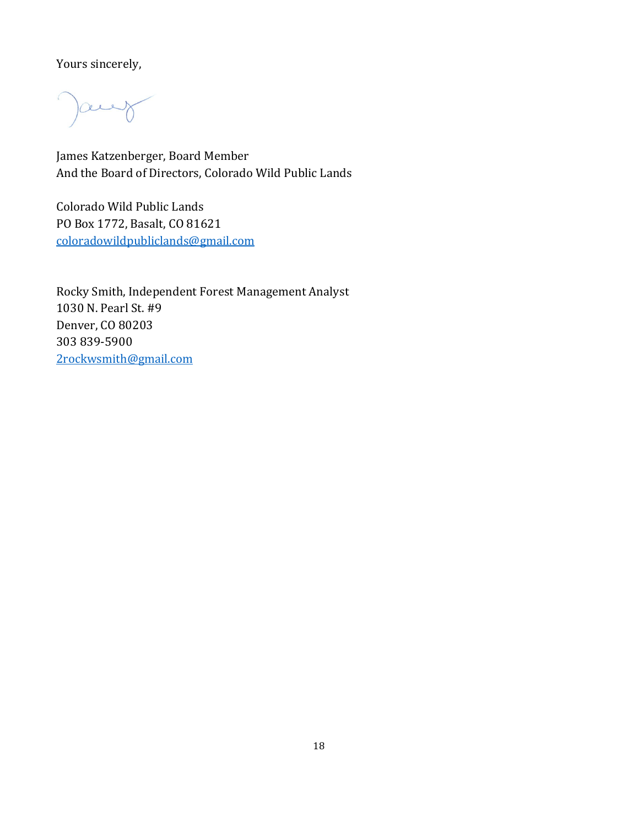Yours sincerely,

)aug

James Katzenberger, Board Member And the Board of Directors, Colorado Wild Public Lands

Colorado Wild Public Lands PO Box 1772, Basalt, CO 81621 coloradowildpubliclands@gmail.com

Rocky Smith, Independent Forest Management Analyst 1030 N. Pearl St. #9 Denver, CO 80203 303 839-5900 2rockwsmith@gmail.com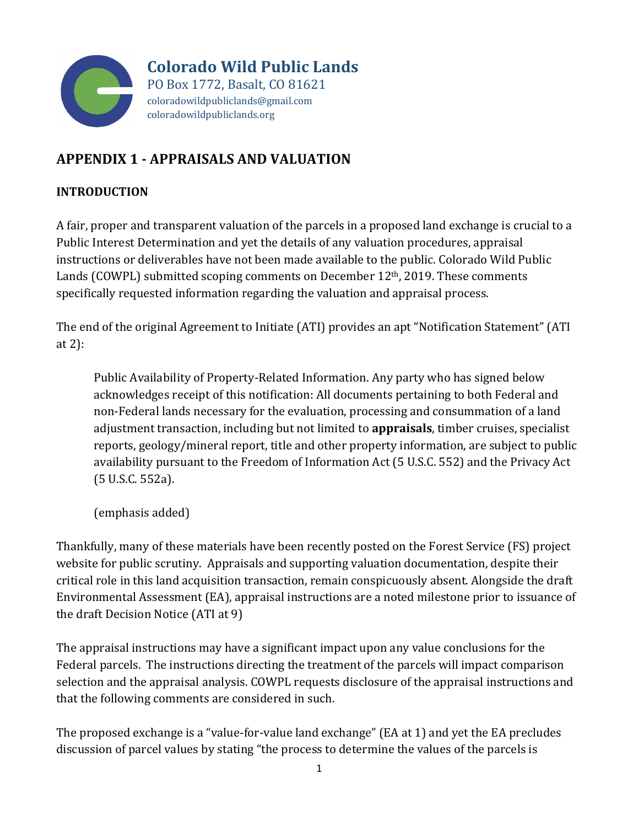

**Colorado Wild Public Lands** PO Box 1772, Basalt, CO 81621 coloradowildpubliclands@gmail.com coloradowildpubliclands.org

# **APPENDIX 1 ‐ APPRAISALS AND VALUATION**

# **INTRODUCTION**

A fair, proper and transparent valuation of the parcels in a proposed land exchange is crucial to a Public Interest Determination and yet the details of any valuation procedures, appraisal instructions or deliverables have not been made available to the public. Colorado Wild Public Lands (COWPL) submitted scoping comments on December 12th, 2019. These comments specifically requested information regarding the valuation and appraisal process.

The end of the original Agreement to Initiate (ATI) provides an apt "Notification Statement" (ATI at 2):

Public Availability of Property-Related Information. Any party who has signed below acknowledges receipt of this notification: All documents pertaining to both Federal and non-Federal lands necessary for the evaluation, processing and consummation of a land adjustment transaction, including but not limited to **appraisals**, timber cruises, specialist reports, geology/mineral report, title and other property information, are subject to public availability pursuant to the Freedom of Information Act (5 U.S.C. 552) and the Privacy Act (5 U.S.C. 552a).

(emphasis added)

Thankfully, many of these materials have been recently posted on the Forest Service (FS) project website for public scrutiny. Appraisals and supporting valuation documentation, despite their critical role in this land acquisition transaction, remain conspicuously absent. Alongside the draft Environmental Assessment (EA), appraisal instructions are a noted milestone prior to issuance of the draft Decision Notice (ATI at 9)

The appraisal instructions may have a significant impact upon any value conclusions for the Federal parcels. The instructions directing the treatment of the parcels will impact comparison selection and the appraisal analysis. COWPL requests disclosure of the appraisal instructions and that the following comments are considered in such.

The proposed exchange is a "value-for-value land exchange" (EA at 1) and yet the EA precludes discussion of parcel values by stating "the process to determine the values of the parcels is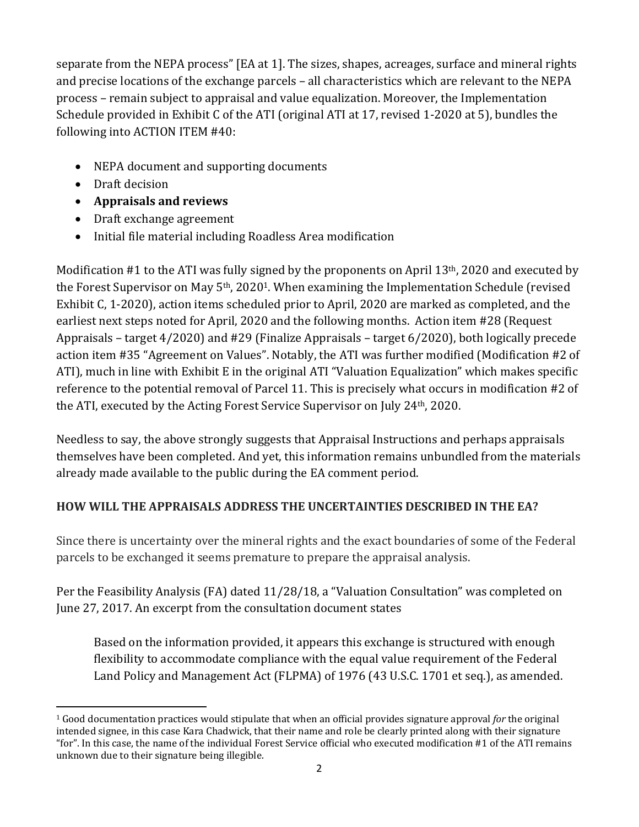separate from the NEPA process" [EA at 1]. The sizes, shapes, acreages, surface and mineral rights and precise locations of the exchange parcels – all characteristics which are relevant to the NEPA process – remain subject to appraisal and value equalization. Moreover, the Implementation Schedule provided in Exhibit C of the ATI (original ATI at 17, revised 1-2020 at 5), bundles the following into ACTION ITEM #40:

- NEPA document and supporting documents
- Draft decision
- **Appraisals and reviews**
- Draft exchange agreement
- Initial file material including Roadless Area modification

Modification #1 to the ATI was fully signed by the proponents on April 13<sup>th</sup>, 2020 and executed by the Forest Supervisor on May 5th, 20201. When examining the Implementation Schedule (revised Exhibit C, 1-2020), action items scheduled prior to April, 2020 are marked as completed, and the earliest next steps noted for April, 2020 and the following months. Action item #28 (Request Appraisals – target 4/2020) and #29 (Finalize Appraisals – target 6/2020), both logically precede action item #35 "Agreement on Values". Notably, the ATI was further modified (Modification #2 of ATI), much in line with Exhibit E in the original ATI "Valuation Equalization" which makes specific reference to the potential removal of Parcel 11. This is precisely what occurs in modification #2 of the ATI, executed by the Acting Forest Service Supervisor on July 24th, 2020.

Needless to say, the above strongly suggests that Appraisal Instructions and perhaps appraisals themselves have been completed. And yet, this information remains unbundled from the materials already made available to the public during the EA comment period.

# **HOW WILL THE APPRAISALS ADDRESS THE UNCERTAINTIES DESCRIBED IN THE EA?**

Since there is uncertainty over the mineral rights and the exact boundaries of some of the Federal parcels to be exchanged it seems premature to prepare the appraisal analysis.

Per the Feasibility Analysis (FA) dated 11/28/18, a "Valuation Consultation" was completed on June 27, 2017. An excerpt from the consultation document states

Based on the information provided, it appears this exchange is structured with enough flexibility to accommodate compliance with the equal value requirement of the Federal Land Policy and Management Act (FLPMA) of 1976 (43 U.S.C. 1701 et seq.), as amended.

<sup>1</sup> Good documentation practices would stipulate that when an official provides signature approval *for* the original intended signee, in this case Kara Chadwick, that their name and role be clearly printed along with their signature "for". In this case, the name of the individual Forest Service official who executed modification #1 of the ATI remains unknown due to their signature being illegible.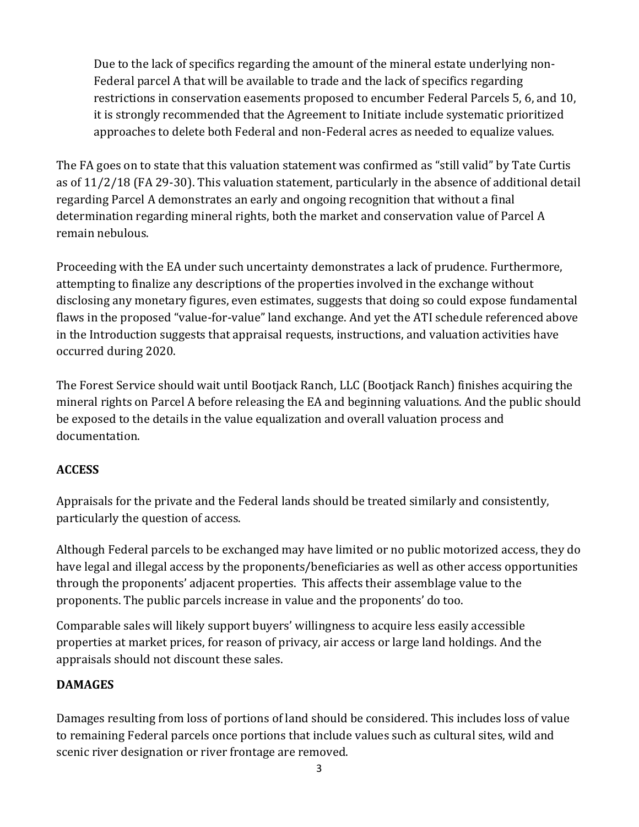Due to the lack of specifics regarding the amount of the mineral estate underlying non-Federal parcel A that will be available to trade and the lack of specifics regarding restrictions in conservation easements proposed to encumber Federal Parcels 5, 6, and 10, it is strongly recommended that the Agreement to Initiate include systematic prioritized approaches to delete both Federal and non-Federal acres as needed to equalize values.

The FA goes on to state that this valuation statement was confirmed as "still valid" by Tate Curtis as of 11/2/18 (FA 29-30). This valuation statement, particularly in the absence of additional detail regarding Parcel A demonstrates an early and ongoing recognition that without a final determination regarding mineral rights, both the market and conservation value of Parcel A remain nebulous.

Proceeding with the EA under such uncertainty demonstrates a lack of prudence. Furthermore, attempting to finalize any descriptions of the properties involved in the exchange without disclosing any monetary figures, even estimates, suggests that doing so could expose fundamental flaws in the proposed "value-for-value" land exchange. And yet the ATI schedule referenced above in the Introduction suggests that appraisal requests, instructions, and valuation activities have occurred during 2020.

The Forest Service should wait until Bootjack Ranch, LLC (Bootjack Ranch) finishes acquiring the mineral rights on Parcel A before releasing the EA and beginning valuations. And the public should be exposed to the details in the value equalization and overall valuation process and documentation.

## **ACCESS**

Appraisals for the private and the Federal lands should be treated similarly and consistently, particularly the question of access.

Although Federal parcels to be exchanged may have limited or no public motorized access, they do have legal and illegal access by the proponents/beneficiaries as well as other access opportunities through the proponents' adjacent properties. This affects their assemblage value to the proponents. The public parcels increase in value and the proponents' do too.

Comparable sales will likely support buyers' willingness to acquire less easily accessible properties at market prices, for reason of privacy, air access or large land holdings. And the appraisals should not discount these sales.

# **DAMAGES**

Damages resulting from loss of portions of land should be considered. This includes loss of value to remaining Federal parcels once portions that include values such as cultural sites, wild and scenic river designation or river frontage are removed.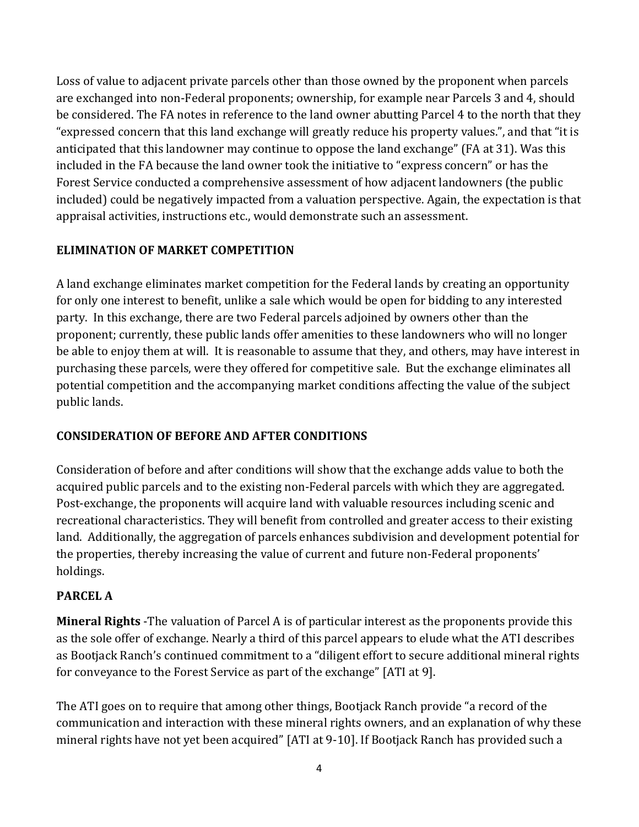Loss of value to adjacent private parcels other than those owned by the proponent when parcels are exchanged into non-Federal proponents; ownership, for example near Parcels 3 and 4, should be considered. The FA notes in reference to the land owner abutting Parcel 4 to the north that they "expressed concern that this land exchange will greatly reduce his property values.", and that "it is anticipated that this landowner may continue to oppose the land exchange" (FA at 31). Was this included in the FA because the land owner took the initiative to "express concern" or has the Forest Service conducted a comprehensive assessment of how adjacent landowners (the public included) could be negatively impacted from a valuation perspective. Again, the expectation is that appraisal activities, instructions etc., would demonstrate such an assessment.

# **ELIMINATION OF MARKET COMPETITION**

A land exchange eliminates market competition for the Federal lands by creating an opportunity for only one interest to benefit, unlike a sale which would be open for bidding to any interested party. In this exchange, there are two Federal parcels adjoined by owners other than the proponent; currently, these public lands offer amenities to these landowners who will no longer be able to enjoy them at will. It is reasonable to assume that they, and others, may have interest in purchasing these parcels, were they offered for competitive sale. But the exchange eliminates all potential competition and the accompanying market conditions affecting the value of the subject public lands.

# **CONSIDERATION OF BEFORE AND AFTER CONDITIONS**

Consideration of before and after conditions will show that the exchange adds value to both the acquired public parcels and to the existing non-Federal parcels with which they are aggregated. Post-exchange, the proponents will acquire land with valuable resources including scenic and recreational characteristics. They will benefit from controlled and greater access to their existing land. Additionally, the aggregation of parcels enhances subdivision and development potential for the properties, thereby increasing the value of current and future non-Federal proponents' holdings.

# **PARCEL A**

**Mineral Rights** -The valuation of Parcel A is of particular interest as the proponents provide this as the sole offer of exchange. Nearly a third of this parcel appears to elude what the ATI describes as Bootjack Ranch's continued commitment to a "diligent effort to secure additional mineral rights for conveyance to the Forest Service as part of the exchange" [ATI at 9].

The ATI goes on to require that among other things, Bootjack Ranch provide "a record of the communication and interaction with these mineral rights owners, and an explanation of why these mineral rights have not yet been acquired" [ATI at 9-10]. If Bootjack Ranch has provided such a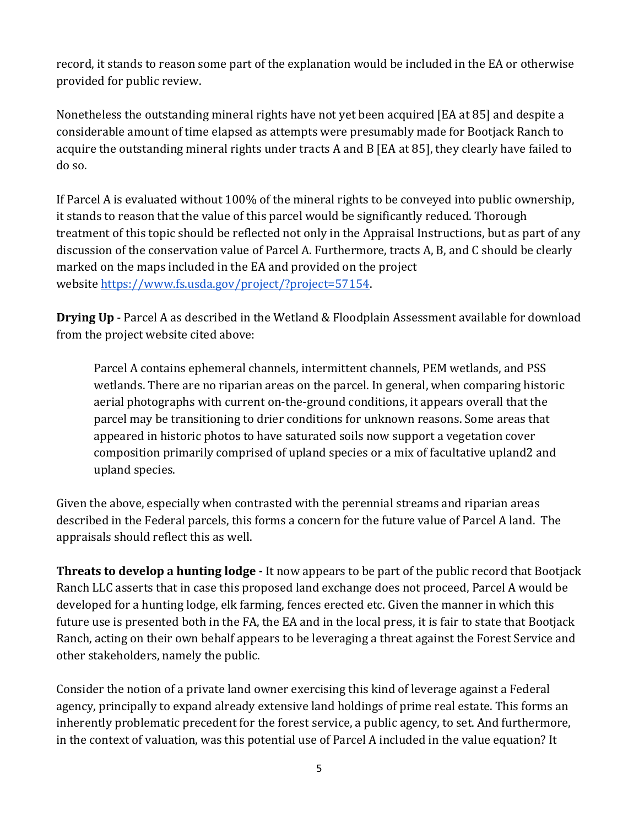record, it stands to reason some part of the explanation would be included in the EA or otherwise provided for public review.

Nonetheless the outstanding mineral rights have not yet been acquired [EA at 85] and despite a considerable amount of time elapsed as attempts were presumably made for Bootjack Ranch to acquire the outstanding mineral rights under tracts A and B [EA at 85], they clearly have failed to do so.

If Parcel A is evaluated without 100% of the mineral rights to be conveyed into public ownership, it stands to reason that the value of this parcel would be significantly reduced. Thorough treatment of this topic should be reflected not only in the Appraisal Instructions, but as part of any discussion of the conservation value of Parcel A. Furthermore, tracts A, B, and C should be clearly marked on the maps included in the EA and provided on the project website https://www.fs.usda.gov/project/?project=57154.

**Drying Up** - Parcel A as described in the Wetland & Floodplain Assessment available for download from the project website cited above:

Parcel A contains ephemeral channels, intermittent channels, PEM wetlands, and PSS wetlands. There are no riparian areas on the parcel. In general, when comparing historic aerial photographs with current on-the-ground conditions, it appears overall that the parcel may be transitioning to drier conditions for unknown reasons. Some areas that appeared in historic photos to have saturated soils now support a vegetation cover composition primarily comprised of upland species or a mix of facultative upland2 and upland species.

Given the above, especially when contrasted with the perennial streams and riparian areas described in the Federal parcels, this forms a concern for the future value of Parcel A land. The appraisals should reflect this as well.

**Threats to develop a hunting lodge** - It now appears to be part of the public record that Bootjack Ranch LLC asserts that in case this proposed land exchange does not proceed, Parcel A would be developed for a hunting lodge, elk farming, fences erected etc. Given the manner in which this future use is presented both in the FA, the EA and in the local press, it is fair to state that Bootjack Ranch, acting on their own behalf appears to be leveraging a threat against the Forest Service and other stakeholders, namely the public.

Consider the notion of a private land owner exercising this kind of leverage against a Federal agency, principally to expand already extensive land holdings of prime real estate. This forms an inherently problematic precedent for the forest service, a public agency, to set. And furthermore, in the context of valuation, was this potential use of Parcel A included in the value equation? It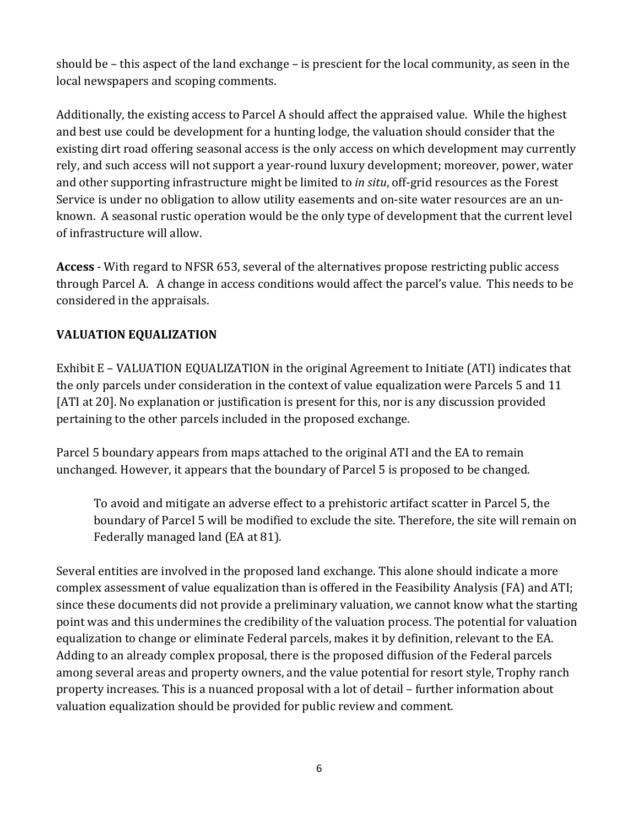should be – this aspect of the land exchange – is prescient for the local community, as seen in the local newspapers and scoping comments.

Additionally, the existing access to Parcel A should affect the appraised value. While the highest and best use could be development for a hunting lodge, the valuation should consider that the existing dirt road offering seasonal access is the only access on which development may currently rely, and such access will not support a year-round luxury development; moreover, power, water and other supporting infrastructure might be limited to *in situ*, off-grid resources as the Forest Service is under no obligation to allow utility easements and on-site water resources are an unknown. A seasonal rustic operation would be the only type of development that the current level of infrastructure will allow.

**Access** - With regard to NFSR 653, several of the alternatives propose restricting public access through Parcel A. A change in access conditions would affect the parcel's value. This needs to be considered in the appraisals.

# **VALUATION EQUALIZATION**

Exhibit E – VALUATION EQUALIZATION in the original Agreement to Initiate (ATI) indicates that the only parcels under consideration in the context of value equalization were Parcels 5 and 11 [ATI at 20]. No explanation or justification is present for this, nor is any discussion provided pertaining to the other parcels included in the proposed exchange.

Parcel 5 boundary appears from maps attached to the original ATI and the EA to remain unchanged. However, it appears that the boundary of Parcel 5 is proposed to be changed.

To avoid and mitigate an adverse effect to a prehistoric artifact scatter in Parcel 5, the boundary of Parcel 5 will be modified to exclude the site. Therefore, the site will remain on Federally managed land (EA at 81).

Several entities are involved in the proposed land exchange. This alone should indicate a more complex assessment of value equalization than is offered in the Feasibility Analysis (FA) and ATI; since these documents did not provide a preliminary valuation, we cannot know what the starting point was and this undermines the credibility of the valuation process. The potential for valuation equalization to change or eliminate Federal parcels, makes it by definition, relevant to the EA. Adding to an already complex proposal, there is the proposed diffusion of the Federal parcels among several areas and property owners, and the value potential for resort style, Trophy ranch property increases. This is a nuanced proposal with a lot of detail – further information about valuation equalization should be provided for public review and comment.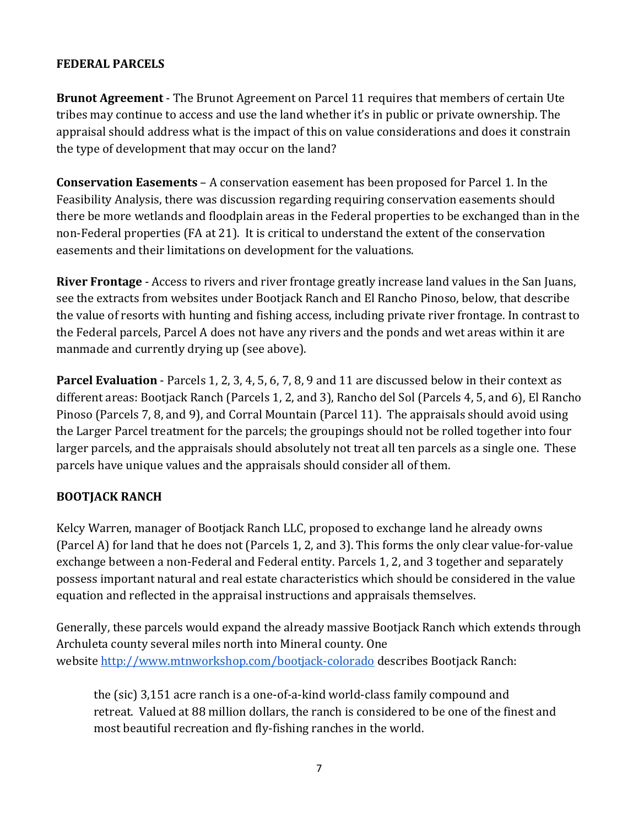# **FEDERAL PARCELS**

**Brunot Agreement** - The Brunot Agreement on Parcel 11 requires that members of certain Ute tribes may continue to access and use the land whether it's in public or private ownership. The appraisal should address what is the impact of this on value considerations and does it constrain the type of development that may occur on the land?

**Conservation Easements** – A conservation easement has been proposed for Parcel 1. In the Feasibility Analysis, there was discussion regarding requiring conservation easements should there be more wetlands and floodplain areas in the Federal properties to be exchanged than in the non-Federal properties (FA at 21). It is critical to understand the extent of the conservation easements and their limitations on development for the valuations.

**River Frontage** - Access to rivers and river frontage greatly increase land values in the San Juans, see the extracts from websites under Bootjack Ranch and El Rancho Pinoso, below, that describe the value of resorts with hunting and fishing access, including private river frontage. In contrast to the Federal parcels, Parcel A does not have any rivers and the ponds and wet areas within it are manmade and currently drying up (see above).

**Parcel Evaluation** - Parcels 1, 2, 3, 4, 5, 6, 7, 8, 9 and 11 are discussed below in their context as different areas: Bootjack Ranch (Parcels 1, 2, and 3), Rancho del Sol (Parcels 4, 5, and 6), El Rancho Pinoso (Parcels 7, 8, and 9), and Corral Mountain (Parcel 11). The appraisals should avoid using the Larger Parcel treatment for the parcels; the groupings should not be rolled together into four larger parcels, and the appraisals should absolutely not treat all ten parcels as a single one. These parcels have unique values and the appraisals should consider all of them.

## **BOOTJACK RANCH**

Kelcy Warren, manager of Bootjack Ranch LLC, proposed to exchange land he already owns (Parcel A) for land that he does not (Parcels 1, 2, and 3). This forms the only clear value-for-value exchange between a non-Federal and Federal entity. Parcels 1, 2, and 3 together and separately possess important natural and real estate characteristics which should be considered in the value equation and reflected in the appraisal instructions and appraisals themselves.

Generally, these parcels would expand the already massive Bootjack Ranch which extends through Archuleta county several miles north into Mineral county. One website http://www.mtnworkshop.com/bootjack-colorado describes Bootjack Ranch:

the (sic) 3,151 acre ranch is a one-of-a-kind world-class family compound and retreat. Valued at 88 million dollars, the ranch is considered to be one of the finest and most beautiful recreation and fly-fishing ranches in the world.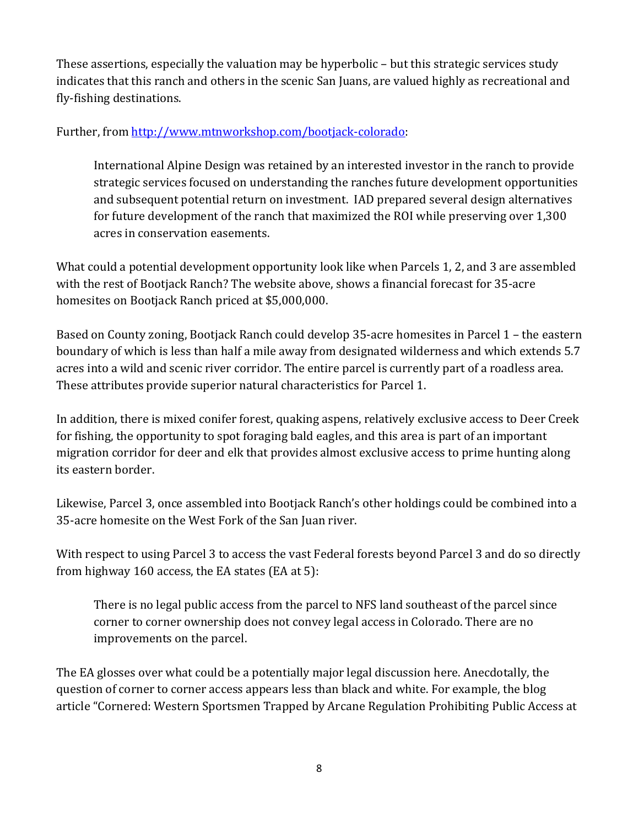These assertions, especially the valuation may be hyperbolic – but this strategic services study indicates that this ranch and others in the scenic San Juans, are valued highly as recreational and fly-fishing destinations.

# Further, from http://www.mtnworkshop.com/bootjack-colorado:

International Alpine Design was retained by an interested investor in the ranch to provide strategic services focused on understanding the ranches future development opportunities and subsequent potential return on investment. IAD prepared several design alternatives for future development of the ranch that maximized the ROI while preserving over 1,300 acres in conservation easements.

What could a potential development opportunity look like when Parcels 1, 2, and 3 are assembled with the rest of Bootjack Ranch? The website above, shows a financial forecast for 35-acre homesites on Bootjack Ranch priced at \$5,000,000.

Based on County zoning, Bootjack Ranch could develop 35-acre homesites in Parcel 1 – the eastern boundary of which is less than half a mile away from designated wilderness and which extends 5.7 acres into a wild and scenic river corridor. The entire parcel is currently part of a roadless area. These attributes provide superior natural characteristics for Parcel 1.

In addition, there is mixed conifer forest, quaking aspens, relatively exclusive access to Deer Creek for fishing, the opportunity to spot foraging bald eagles, and this area is part of an important migration corridor for deer and elk that provides almost exclusive access to prime hunting along its eastern border.

Likewise, Parcel 3, once assembled into Bootjack Ranch's other holdings could be combined into a 35-acre homesite on the West Fork of the San Juan river.

With respect to using Parcel 3 to access the vast Federal forests beyond Parcel 3 and do so directly from highway 160 access, the EA states (EA at 5):

There is no legal public access from the parcel to NFS land southeast of the parcel since corner to corner ownership does not convey legal access in Colorado. There are no improvements on the parcel.

The EA glosses over what could be a potentially major legal discussion here. Anecdotally, the question of corner to corner access appears less than black and white. For example, the blog article "Cornered: Western Sportsmen Trapped by Arcane Regulation Prohibiting Public Access at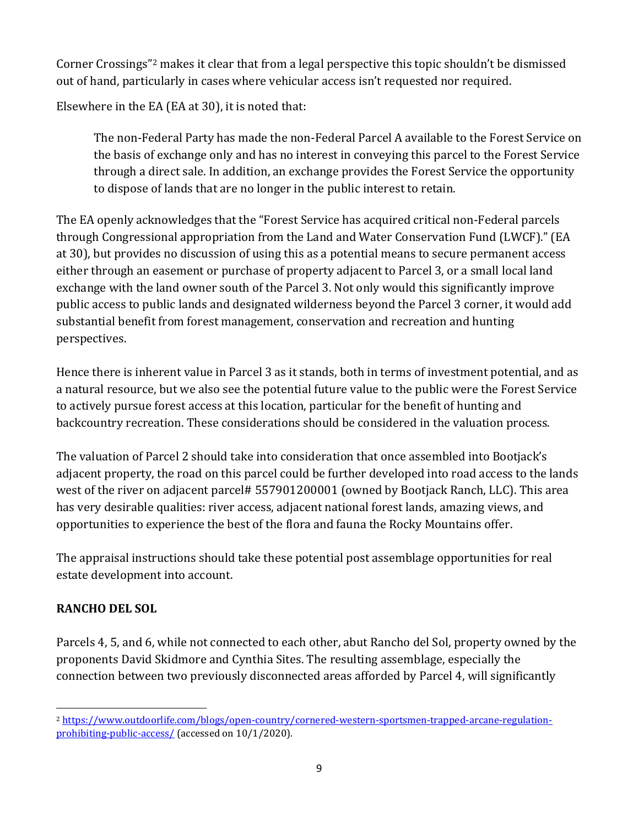Corner Crossings"2 makes it clear that from a legal perspective this topic shouldn't be dismissed out of hand, particularly in cases where vehicular access isn't requested nor required.

Elsewhere in the EA (EA at 30), it is noted that:

The non-Federal Party has made the non-Federal Parcel A available to the Forest Service on the basis of exchange only and has no interest in conveying this parcel to the Forest Service through a direct sale. In addition, an exchange provides the Forest Service the opportunity to dispose of lands that are no longer in the public interest to retain.

The EA openly acknowledges that the "Forest Service has acquired critical non-Federal parcels through Congressional appropriation from the Land and Water Conservation Fund (LWCF)." (EA at 30), but provides no discussion of using this as a potential means to secure permanent access either through an easement or purchase of property adjacent to Parcel 3, or a small local land exchange with the land owner south of the Parcel 3. Not only would this significantly improve public access to public lands and designated wilderness beyond the Parcel 3 corner, it would add substantial benefit from forest management, conservation and recreation and hunting perspectives.

Hence there is inherent value in Parcel 3 as it stands, both in terms of investment potential, and as a natural resource, but we also see the potential future value to the public were the Forest Service to actively pursue forest access at this location, particular for the benefit of hunting and backcountry recreation. These considerations should be considered in the valuation process.

The valuation of Parcel 2 should take into consideration that once assembled into Bootjack's adjacent property, the road on this parcel could be further developed into road access to the lands west of the river on adjacent parcel# 557901200001 (owned by Bootjack Ranch, LLC). This area has very desirable qualities: river access, adjacent national forest lands, amazing views, and opportunities to experience the best of the flora and fauna the Rocky Mountains offer.

The appraisal instructions should take these potential post assemblage opportunities for real estate development into account.

# **RANCHO DEL SOL**

Parcels 4, 5, and 6, while not connected to each other, abut Rancho del Sol, property owned by the proponents David Skidmore and Cynthia Sites. The resulting assemblage, especially the connection between two previously disconnected areas afforded by Parcel 4, will significantly

<sup>2</sup> https://www.outdoorlife.com/blogs/open-country/cornered-western-sportsmen-trapped-arcane-regulationprohibiting-public-access/ (accessed on 10/1/2020).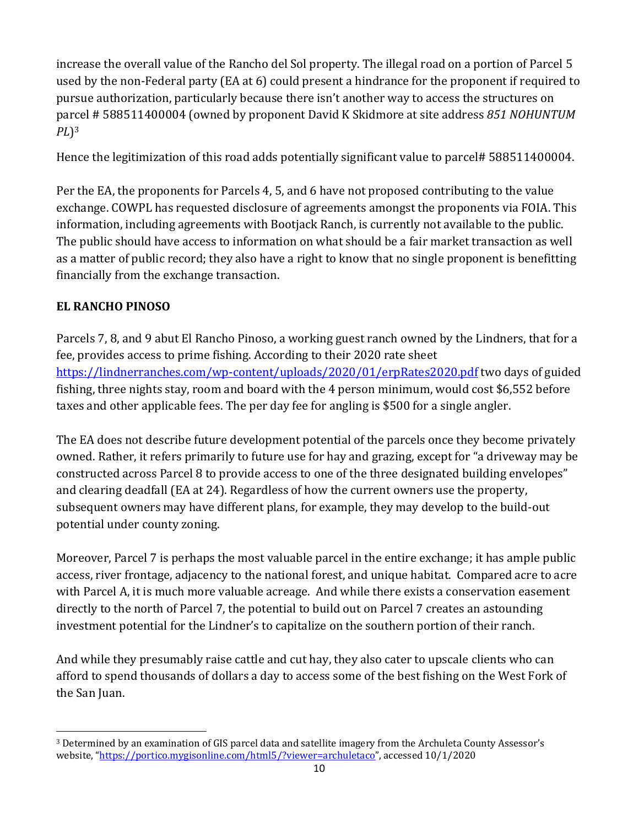increase the overall value of the Rancho del Sol property. The illegal road on a portion of Parcel 5 used by the non-Federal party (EA at 6) could present a hindrance for the proponent if required to pursue authorization, particularly because there isn't another way to access the structures on parcel # 588511400004 (owned by proponent David K Skidmore at site address *851 NOHUNTUM PL*)3

Hence the legitimization of this road adds potentially significant value to parcel# 588511400004.

Per the EA, the proponents for Parcels 4, 5, and 6 have not proposed contributing to the value exchange. COWPL has requested disclosure of agreements amongst the proponents via FOIA. This information, including agreements with Bootjack Ranch, is currently not available to the public. The public should have access to information on what should be a fair market transaction as well as a matter of public record; they also have a right to know that no single proponent is benefitting financially from the exchange transaction.

# **EL RANCHO PINOSO**

Parcels 7, 8, and 9 abut El Rancho Pinoso, a working guest ranch owned by the Lindners, that for a fee, provides access to prime fishing. According to their 2020 rate sheet https://lindnerranches.com/wp-content/uploads/2020/01/erpRates2020.pdf two days of guided fishing, three nights stay, room and board with the 4 person minimum, would cost \$6,552 before taxes and other applicable fees. The per day fee for angling is \$500 for a single angler.

The EA does not describe future development potential of the parcels once they become privately owned. Rather, it refers primarily to future use for hay and grazing, except for "a driveway may be constructed across Parcel 8 to provide access to one of the three designated building envelopes" and clearing deadfall (EA at 24). Regardless of how the current owners use the property, subsequent owners may have different plans, for example, they may develop to the build-out potential under county zoning.

Moreover, Parcel 7 is perhaps the most valuable parcel in the entire exchange; it has ample public access, river frontage, adjacency to the national forest, and unique habitat. Compared acre to acre with Parcel A, it is much more valuable acreage. And while there exists a conservation easement directly to the north of Parcel 7, the potential to build out on Parcel 7 creates an astounding investment potential for the Lindner's to capitalize on the southern portion of their ranch.

And while they presumably raise cattle and cut hay, they also cater to upscale clients who can afford to spend thousands of dollars a day to access some of the best fishing on the West Fork of the San Juan.

<sup>3</sup> Determined by an examination of GIS parcel data and satellite imagery from the Archuleta County Assessor's website, "https://portico.mygisonline.com/html5/?viewer=archuletaco", accessed 10/1/2020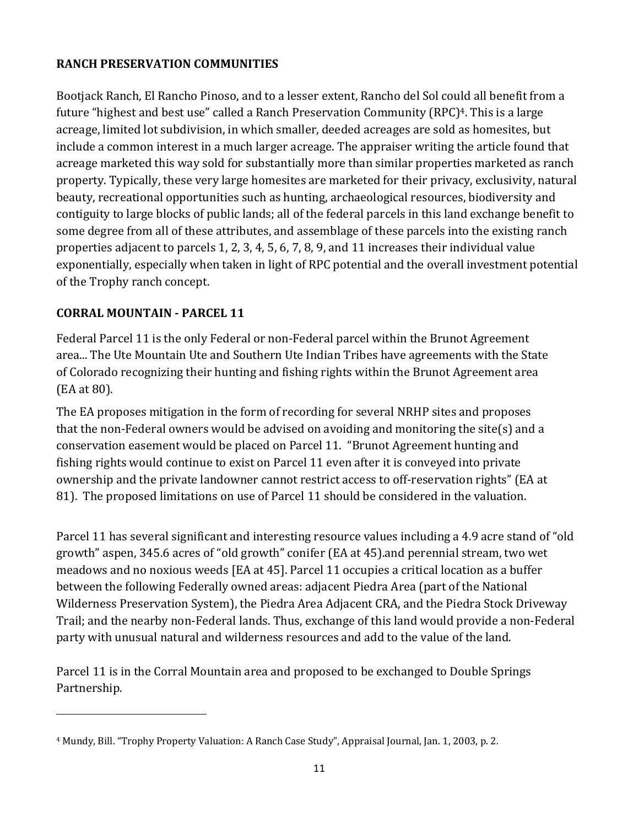# **RANCH PRESERVATION COMMUNITIES**

Bootjack Ranch, El Rancho Pinoso, and to a lesser extent, Rancho del Sol could all benefit from a future "highest and best use" called a Ranch Preservation Community (RPC)<sup>4</sup>. This is a large acreage, limited lot subdivision, in which smaller, deeded acreages are sold as homesites, but include a common interest in a much larger acreage. The appraiser writing the article found that acreage marketed this way sold for substantially more than similar properties marketed as ranch property. Typically, these very large homesites are marketed for their privacy, exclusivity, natural beauty, recreational opportunities such as hunting, archaeological resources, biodiversity and contiguity to large blocks of public lands; all of the federal parcels in this land exchange benefit to some degree from all of these attributes, and assemblage of these parcels into the existing ranch properties adjacent to parcels 1, 2, 3, 4, 5, 6, 7, 8, 9, and 11 increases their individual value exponentially, especially when taken in light of RPC potential and the overall investment potential of the Trophy ranch concept.

# **CORRAL MOUNTAIN ‐ PARCEL 11**

Federal Parcel 11 is the only Federal or non-Federal parcel within the Brunot Agreement area... The Ute Mountain Ute and Southern Ute Indian Tribes have agreements with the State of Colorado recognizing their hunting and fishing rights within the Brunot Agreement area (EA at 80).

The EA proposes mitigation in the form of recording for several NRHP sites and proposes that the non-Federal owners would be advised on avoiding and monitoring the site(s) and a conservation easement would be placed on Parcel 11. "Brunot Agreement hunting and fishing rights would continue to exist on Parcel 11 even after it is conveyed into private ownership and the private landowner cannot restrict access to off-reservation rights" (EA at 81). The proposed limitations on use of Parcel 11 should be considered in the valuation.

Parcel 11 has several significant and interesting resource values including a 4.9 acre stand of "old growth" aspen, 345.6 acres of "old growth" conifer (EA at 45).and perennial stream, two wet meadows and no noxious weeds [EA at 45]. Parcel 11 occupies a critical location as a buffer between the following Federally owned areas: adjacent Piedra Area (part of the National Wilderness Preservation System), the Piedra Area Adjacent CRA, and the Piedra Stock Driveway Trail; and the nearby non-Federal lands. Thus, exchange of this land would provide a non-Federal party with unusual natural and wilderness resources and add to the value of the land.

Parcel 11 is in the Corral Mountain area and proposed to be exchanged to Double Springs Partnership.

<sup>4</sup> Mundy, Bill. "Trophy Property Valuation: A Ranch Case Study", Appraisal Journal, Jan. 1, 2003, p. 2.